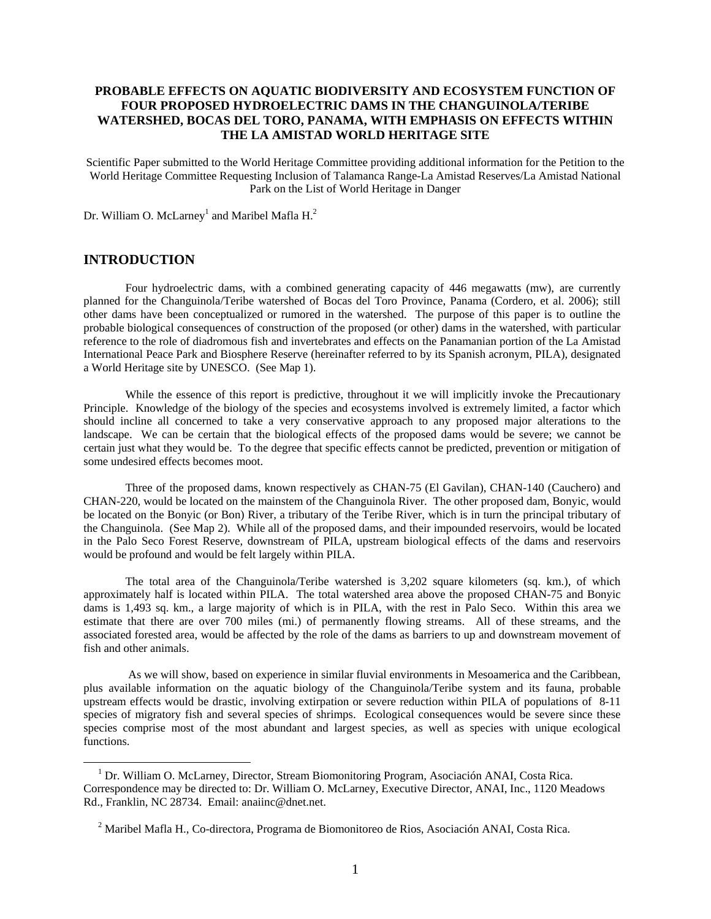## **PROBABLE EFFECTS ON AQUATIC BIODIVERSITY AND ECOSYSTEM FUNCTION OF FOUR PROPOSED HYDROELECTRIC DAMS IN THE CHANGUINOLA/TERIBE WATERSHED, BOCAS DEL TORO, PANAMA, WITH EMPHASIS ON EFFECTS WITHIN THE LA AMISTAD WORLD HERITAGE SITE**

Scientific Paper submitted to the World Heritage Committee providing additional information for the Petition to the World Heritage Committee Requesting Inclusion of Talamanca Range-La Amistad Reserves/La Amistad National Park on the List of World Heritage in Danger

Dr. William O. McLarney<sup>1</sup> and Maribel Mafla  $H<sup>2</sup>$ 

### **INTRODUCTION**

 $\overline{a}$ 

 Four hydroelectric dams, with a combined generating capacity of 446 megawatts (mw), are currently planned for the Changuinola/Teribe watershed of Bocas del Toro Province, Panama (Cordero, et al. 2006); still other dams have been conceptualized or rumored in the watershed. The purpose of this paper is to outline the probable biological consequences of construction of the proposed (or other) dams in the watershed, with particular reference to the role of diadromous fish and invertebrates and effects on the Panamanian portion of the La Amistad International Peace Park and Biosphere Reserve (hereinafter referred to by its Spanish acronym, PILA), designated a World Heritage site by UNESCO. (See Map 1).

While the essence of this report is predictive, throughout it we will implicitly invoke the Precautionary Principle. Knowledge of the biology of the species and ecosystems involved is extremely limited, a factor which should incline all concerned to take a very conservative approach to any proposed major alterations to the landscape. We can be certain that the biological effects of the proposed dams would be severe; we cannot be certain just what they would be. To the degree that specific effects cannot be predicted, prevention or mitigation of some undesired effects becomes moot.

 Three of the proposed dams, known respectively as CHAN-75 (El Gavilan), CHAN-140 (Cauchero) and CHAN-220, would be located on the mainstem of the Changuinola River. The other proposed dam, Bonyic, would be located on the Bonyic (or Bon) River, a tributary of the Teribe River, which is in turn the principal tributary of the Changuinola. (See Map 2). While all of the proposed dams, and their impounded reservoirs, would be located in the Palo Seco Forest Reserve, downstream of PILA, upstream biological effects of the dams and reservoirs would be profound and would be felt largely within PILA.

 The total area of the Changuinola/Teribe watershed is 3,202 square kilometers (sq. km.), of which approximately half is located within PILA. The total watershed area above the proposed CHAN-75 and Bonyic dams is 1,493 sq. km., a large majority of which is in PILA, with the rest in Palo Seco. Within this area we estimate that there are over 700 miles (mi.) of permanently flowing streams. All of these streams, and the associated forested area, would be affected by the role of the dams as barriers to up and downstream movement of fish and other animals.

 As we will show, based on experience in similar fluvial environments in Mesoamerica and the Caribbean, plus available information on the aquatic biology of the Changuinola/Teribe system and its fauna, probable upstream effects would be drastic, involving extirpation or severe reduction within PILA of populations of 8-11 species of migratory fish and several species of shrimps. Ecological consequences would be severe since these species comprise most of the most abundant and largest species, as well as species with unique ecological functions.

<sup>&</sup>lt;sup>1</sup> Dr. William O. McLarney, Director, Stream Biomonitoring Program, Asociación ANAI, Costa Rica. Correspondence may be directed to: Dr. William O. McLarney, Executive Director, ANAI, Inc., 1120 Meadows Rd., Franklin, NC 28734. Email: anaiinc@dnet.net.

<sup>2</sup> Maribel Mafla H., Co-directora, Programa de Biomonitoreo de Rios, Asociación ANAI, Costa Rica.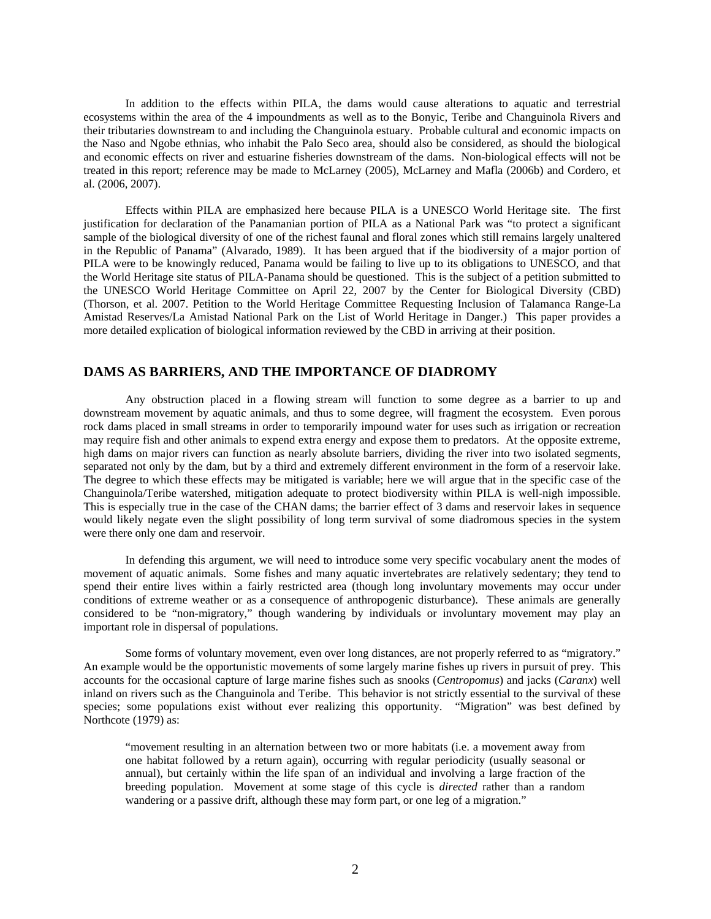In addition to the effects within PILA, the dams would cause alterations to aquatic and terrestrial ecosystems within the area of the 4 impoundments as well as to the Bonyic, Teribe and Changuinola Rivers and their tributaries downstream to and including the Changuinola estuary. Probable cultural and economic impacts on the Naso and Ngobe ethnias, who inhabit the Palo Seco area, should also be considered, as should the biological and economic effects on river and estuarine fisheries downstream of the dams. Non-biological effects will not be treated in this report; reference may be made to McLarney (2005), McLarney and Mafla (2006b) and Cordero, et al. (2006, 2007).

 Effects within PILA are emphasized here because PILA is a UNESCO World Heritage site. The first justification for declaration of the Panamanian portion of PILA as a National Park was "to protect a significant sample of the biological diversity of one of the richest faunal and floral zones which still remains largely unaltered in the Republic of Panama" (Alvarado, 1989). It has been argued that if the biodiversity of a major portion of PILA were to be knowingly reduced, Panama would be failing to live up to its obligations to UNESCO, and that the World Heritage site status of PILA-Panama should be questioned. This is the subject of a petition submitted to the UNESCO World Heritage Committee on April 22, 2007 by the Center for Biological Diversity (CBD) (Thorson, et al. 2007. Petition to the World Heritage Committee Requesting Inclusion of Talamanca Range-La Amistad Reserves/La Amistad National Park on the List of World Heritage in Danger.) This paper provides a more detailed explication of biological information reviewed by the CBD in arriving at their position.

## **DAMS AS BARRIERS, AND THE IMPORTANCE OF DIADROMY**

 Any obstruction placed in a flowing stream will function to some degree as a barrier to up and downstream movement by aquatic animals, and thus to some degree, will fragment the ecosystem. Even porous rock dams placed in small streams in order to temporarily impound water for uses such as irrigation or recreation may require fish and other animals to expend extra energy and expose them to predators. At the opposite extreme, high dams on major rivers can function as nearly absolute barriers, dividing the river into two isolated segments, separated not only by the dam, but by a third and extremely different environment in the form of a reservoir lake. The degree to which these effects may be mitigated is variable; here we will argue that in the specific case of the Changuinola/Teribe watershed, mitigation adequate to protect biodiversity within PILA is well-nigh impossible. This is especially true in the case of the CHAN dams; the barrier effect of 3 dams and reservoir lakes in sequence would likely negate even the slight possibility of long term survival of some diadromous species in the system were there only one dam and reservoir.

 In defending this argument, we will need to introduce some very specific vocabulary anent the modes of movement of aquatic animals. Some fishes and many aquatic invertebrates are relatively sedentary; they tend to spend their entire lives within a fairly restricted area (though long involuntary movements may occur under conditions of extreme weather or as a consequence of anthropogenic disturbance). These animals are generally considered to be "non-migratory," though wandering by individuals or involuntary movement may play an important role in dispersal of populations.

 Some forms of voluntary movement, even over long distances, are not properly referred to as "migratory." An example would be the opportunistic movements of some largely marine fishes up rivers in pursuit of prey. This accounts for the occasional capture of large marine fishes such as snooks (*Centropomus*) and jacks (*Caranx*) well inland on rivers such as the Changuinola and Teribe. This behavior is not strictly essential to the survival of these species; some populations exist without ever realizing this opportunity. "Migration" was best defined by Northcote (1979) as:

"movement resulting in an alternation between two or more habitats (i.e. a movement away from one habitat followed by a return again), occurring with regular periodicity (usually seasonal or annual), but certainly within the life span of an individual and involving a large fraction of the breeding population. Movement at some stage of this cycle is *directed* rather than a random wandering or a passive drift, although these may form part, or one leg of a migration."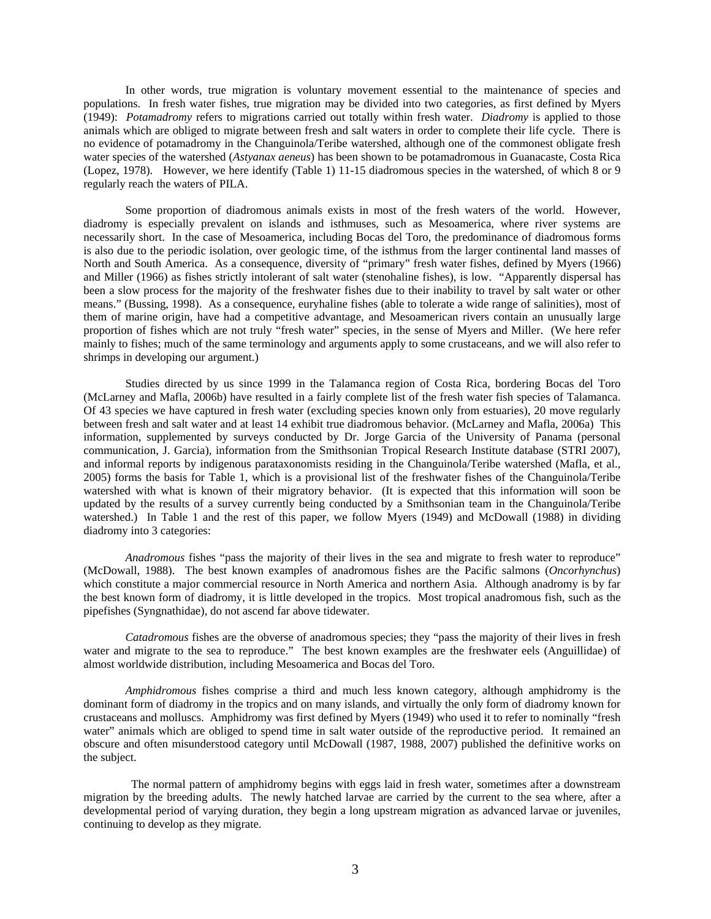In other words, true migration is voluntary movement essential to the maintenance of species and populations. In fresh water fishes, true migration may be divided into two categories, as first defined by Myers (1949): *Potamadromy* refers to migrations carried out totally within fresh water. *Diadromy* is applied to those animals which are obliged to migrate between fresh and salt waters in order to complete their life cycle. There is no evidence of potamadromy in the Changuinola/Teribe watershed, although one of the commonest obligate fresh water species of the watershed (*Astyanax aeneus*) has been shown to be potamadromous in Guanacaste, Costa Rica (Lopez, 1978). However, we here identify (Table 1) 11-15 diadromous species in the watershed, of which 8 or 9 regularly reach the waters of PILA.

 Some proportion of diadromous animals exists in most of the fresh waters of the world. However, diadromy is especially prevalent on islands and isthmuses, such as Mesoamerica, where river systems are necessarily short. In the case of Mesoamerica, including Bocas del Toro, the predominance of diadromous forms is also due to the periodic isolation, over geologic time, of the isthmus from the larger continental land masses of North and South America. As a consequence, diversity of "primary" fresh water fishes, defined by Myers (1966) and Miller (1966) as fishes strictly intolerant of salt water (stenohaline fishes), is low. "Apparently dispersal has been a slow process for the majority of the freshwater fishes due to their inability to travel by salt water or other means." (Bussing, 1998). As a consequence, euryhaline fishes (able to tolerate a wide range of salinities), most of them of marine origin, have had a competitive advantage, and Mesoamerican rivers contain an unusually large proportion of fishes which are not truly "fresh water" species, in the sense of Myers and Miller. (We here refer mainly to fishes; much of the same terminology and arguments apply to some crustaceans, and we will also refer to shrimps in developing our argument.)

 Studies directed by us since 1999 in the Talamanca region of Costa Rica, bordering Bocas del Toro (McLarney and Mafla, 2006b) have resulted in a fairly complete list of the fresh water fish species of Talamanca. Of 43 species we have captured in fresh water (excluding species known only from estuaries), 20 move regularly between fresh and salt water and at least 14 exhibit true diadromous behavior. (McLarney and Mafla, 2006a) This information, supplemented by surveys conducted by Dr. Jorge Garcia of the University of Panama (personal communication, J. Garcia), information from the Smithsonian Tropical Research Institute database (STRI 2007), and informal reports by indigenous parataxonomists residing in the Changuinola/Teribe watershed (Mafla, et al., 2005) forms the basis for Table 1, which is a provisional list of the freshwater fishes of the Changuinola/Teribe watershed with what is known of their migratory behavior. (It is expected that this information will soon be updated by the results of a survey currently being conducted by a Smithsonian team in the Changuinola/Teribe watershed.) In Table 1 and the rest of this paper, we follow Myers (1949) and McDowall (1988) in dividing diadromy into 3 categories:

*Anadromous* fishes "pass the majority of their lives in the sea and migrate to fresh water to reproduce" (McDowall, 1988). The best known examples of anadromous fishes are the Pacific salmons (*Oncorhynchus*) which constitute a major commercial resource in North America and northern Asia. Although anadromy is by far the best known form of diadromy, it is little developed in the tropics. Most tropical anadromous fish, such as the pipefishes (Syngnathidae), do not ascend far above tidewater.

*Catadromous* fishes are the obverse of anadromous species; they "pass the majority of their lives in fresh water and migrate to the sea to reproduce." The best known examples are the freshwater eels (Anguillidae) of almost worldwide distribution, including Mesoamerica and Bocas del Toro.

*Amphidromous* fishes comprise a third and much less known category, although amphidromy is the dominant form of diadromy in the tropics and on many islands, and virtually the only form of diadromy known for crustaceans and molluscs. Amphidromy was first defined by Myers (1949) who used it to refer to nominally "fresh water" animals which are obliged to spend time in salt water outside of the reproductive period. It remained an obscure and often misunderstood category until McDowall (1987, 1988, 2007) published the definitive works on the subject.

 The normal pattern of amphidromy begins with eggs laid in fresh water, sometimes after a downstream migration by the breeding adults. The newly hatched larvae are carried by the current to the sea where, after a developmental period of varying duration, they begin a long upstream migration as advanced larvae or juveniles, continuing to develop as they migrate.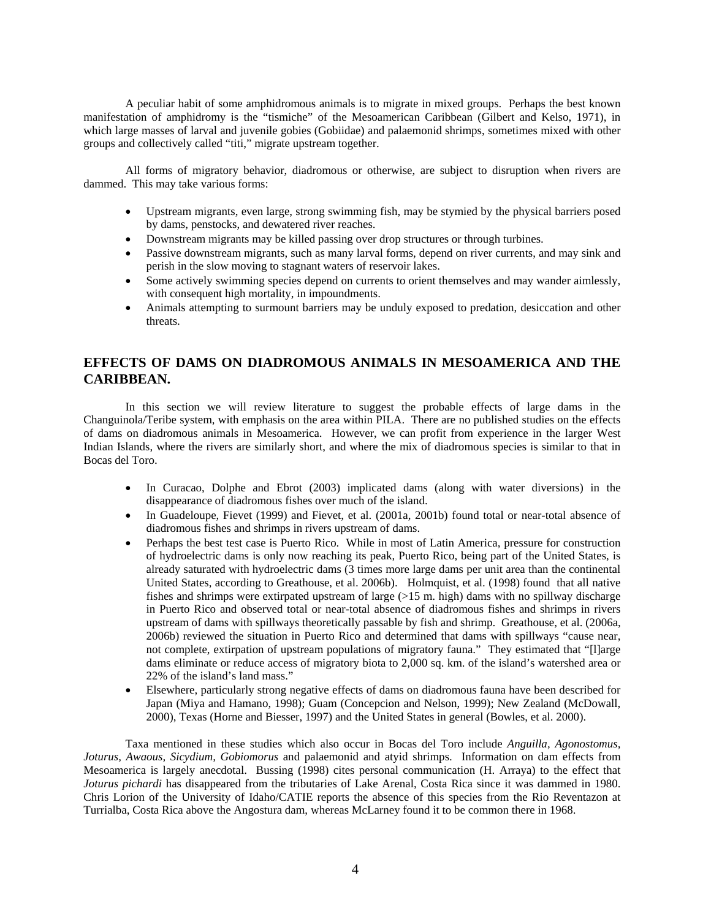A peculiar habit of some amphidromous animals is to migrate in mixed groups. Perhaps the best known manifestation of amphidromy is the "tismiche" of the Mesoamerican Caribbean (Gilbert and Kelso, 1971), in which large masses of larval and juvenile gobies (Gobiidae) and palaemonid shrimps, sometimes mixed with other groups and collectively called "titi," migrate upstream together.

 All forms of migratory behavior, diadromous or otherwise, are subject to disruption when rivers are dammed. This may take various forms:

- Upstream migrants, even large, strong swimming fish, may be stymied by the physical barriers posed by dams, penstocks, and dewatered river reaches.
- Downstream migrants may be killed passing over drop structures or through turbines.
- Passive downstream migrants, such as many larval forms, depend on river currents, and may sink and perish in the slow moving to stagnant waters of reservoir lakes.
- Some actively swimming species depend on currents to orient themselves and may wander aimlessly, with consequent high mortality, in impoundments.
- Animals attempting to surmount barriers may be unduly exposed to predation, desiccation and other threats.

# **EFFECTS OF DAMS ON DIADROMOUS ANIMALS IN MESOAMERICA AND THE CARIBBEAN.**

In this section we will review literature to suggest the probable effects of large dams in the Changuinola/Teribe system, with emphasis on the area within PILA. There are no published studies on the effects of dams on diadromous animals in Mesoamerica. However, we can profit from experience in the larger West Indian Islands, where the rivers are similarly short, and where the mix of diadromous species is similar to that in Bocas del Toro.

- In Curacao, Dolphe and Ebrot (2003) implicated dams (along with water diversions) in the disappearance of diadromous fishes over much of the island.
- In Guadeloupe, Fievet (1999) and Fievet, et al. (2001a, 2001b) found total or near-total absence of diadromous fishes and shrimps in rivers upstream of dams.
- Perhaps the best test case is Puerto Rico. While in most of Latin America, pressure for construction of hydroelectric dams is only now reaching its peak, Puerto Rico, being part of the United States, is already saturated with hydroelectric dams (3 times more large dams per unit area than the continental United States, according to Greathouse, et al. 2006b). Holmquist, et al. (1998) found that all native fishes and shrimps were extirpated upstream of large  $(>15 \text{ m}$ . high) dams with no spillway discharge in Puerto Rico and observed total or near-total absence of diadromous fishes and shrimps in rivers upstream of dams with spillways theoretically passable by fish and shrimp. Greathouse, et al. (2006a, 2006b) reviewed the situation in Puerto Rico and determined that dams with spillways "cause near, not complete, extirpation of upstream populations of migratory fauna." They estimated that "[l]arge dams eliminate or reduce access of migratory biota to 2,000 sq. km. of the island's watershed area or 22% of the island's land mass."
- Elsewhere, particularly strong negative effects of dams on diadromous fauna have been described for Japan (Miya and Hamano, 1998); Guam (Concepcion and Nelson, 1999); New Zealand (McDowall, 2000), Texas (Horne and Biesser, 1997) and the United States in general (Bowles, et al. 2000).

Taxa mentioned in these studies which also occur in Bocas del Toro include *Anguilla, Agonostomus, Joturus, Awaous, Sicydium, Gobiomorus* and palaemonid and atyid shrimps. Information on dam effects from Mesoamerica is largely anecdotal. Bussing (1998) cites personal communication (H. Arraya) to the effect that *Joturus pichardi* has disappeared from the tributaries of Lake Arenal, Costa Rica since it was dammed in 1980. Chris Lorion of the University of Idaho/CATIE reports the absence of this species from the Rio Reventazon at Turrialba, Costa Rica above the Angostura dam, whereas McLarney found it to be common there in 1968.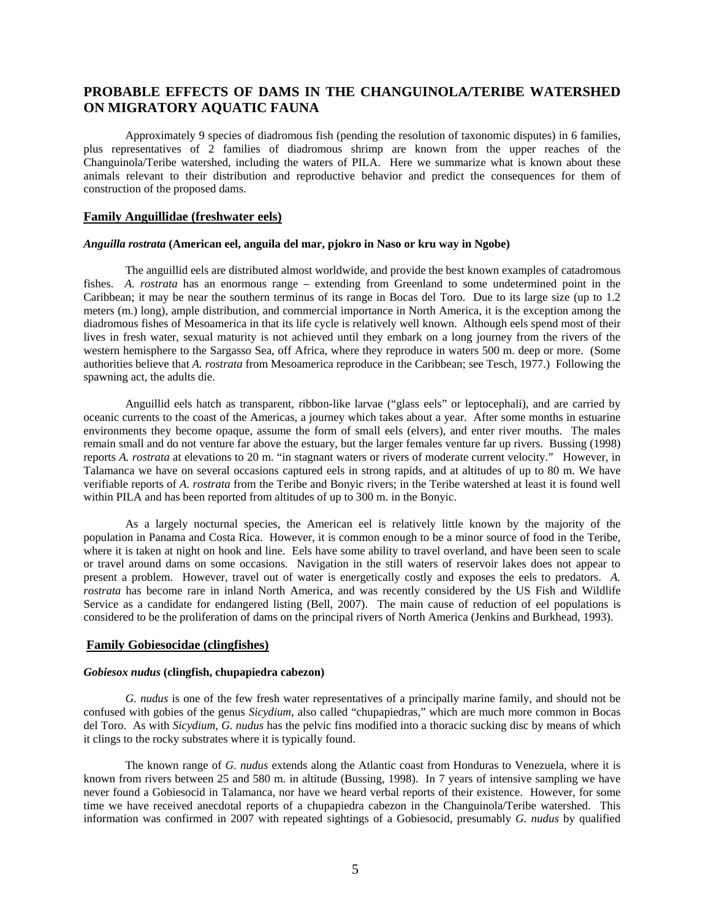# **PROBABLE EFFECTS OF DAMS IN THE CHANGUINOLA/TERIBE WATERSHED ON MIGRATORY AQUATIC FAUNA**

 Approximately 9 species of diadromous fish (pending the resolution of taxonomic disputes) in 6 families, plus representatives of 2 families of diadromous shrimp are known from the upper reaches of the Changuinola/Teribe watershed, including the waters of PILA. Here we summarize what is known about these animals relevant to their distribution and reproductive behavior and predict the consequences for them of construction of the proposed dams.

### **Family Anguillidae (freshwater eels)**

#### *Anguilla rostrata* **(American eel, anguila del mar, pjokro in Naso or kru way in Ngobe)**

 The anguillid eels are distributed almost worldwide, and provide the best known examples of catadromous fishes. *A. rostrata* has an enormous range – extending from Greenland to some undetermined point in the Caribbean; it may be near the southern terminus of its range in Bocas del Toro. Due to its large size (up to 1.2 meters (m.) long), ample distribution, and commercial importance in North America, it is the exception among the diadromous fishes of Mesoamerica in that its life cycle is relatively well known. Although eels spend most of their lives in fresh water, sexual maturity is not achieved until they embark on a long journey from the rivers of the western hemisphere to the Sargasso Sea, off Africa, where they reproduce in waters 500 m. deep or more. (Some authorities believe that *A. rostrata* from Mesoamerica reproduce in the Caribbean; see Tesch, 1977.) Following the spawning act, the adults die.

 Anguillid eels hatch as transparent, ribbon-like larvae ("glass eels" or leptocephali), and are carried by oceanic currents to the coast of the Americas, a journey which takes about a year. After some months in estuarine environments they become opaque, assume the form of small eels (elvers), and enter river mouths. The males remain small and do not venture far above the estuary, but the larger females venture far up rivers. Bussing (1998) reports *A. rostrata* at elevations to 20 m. "in stagnant waters or rivers of moderate current velocity." However, in Talamanca we have on several occasions captured eels in strong rapids, and at altitudes of up to 80 m. We have verifiable reports of *A. rostrata* from the Teribe and Bonyic rivers; in the Teribe watershed at least it is found well within PILA and has been reported from altitudes of up to 300 m. in the Bonyic.

 As a largely nocturnal species, the American eel is relatively little known by the majority of the population in Panama and Costa Rica. However, it is common enough to be a minor source of food in the Teribe, where it is taken at night on hook and line. Eels have some ability to travel overland, and have been seen to scale or travel around dams on some occasions. Navigation in the still waters of reservoir lakes does not appear to present a problem. However, travel out of water is energetically costly and exposes the eels to predators. *A. rostrata* has become rare in inland North America, and was recently considered by the US Fish and Wildlife Service as a candidate for endangered listing (Bell, 2007). The main cause of reduction of eel populations is considered to be the proliferation of dams on the principal rivers of North America (Jenkins and Burkhead, 1993).

## **Family Gobiesocidae (clingfishes)**

### *Gobiesox nudus* **(clingfish, chupapiedra cabezon)**

*G. nudus* is one of the few fresh water representatives of a principally marine family, and should not be confused with gobies of the genus *Sicydium*, also called "chupapiedras," which are much more common in Bocas del Toro. As with *Sicydium, G. nudus* has the pelvic fins modified into a thoracic sucking disc by means of which it clings to the rocky substrates where it is typically found.

 The known range of *G. nudus* extends along the Atlantic coast from Honduras to Venezuela, where it is known from rivers between 25 and 580 m. in altitude (Bussing, 1998). In 7 years of intensive sampling we have never found a Gobiesocid in Talamanca, nor have we heard verbal reports of their existence. However, for some time we have received anecdotal reports of a chupapiedra cabezon in the Changuinola/Teribe watershed. This information was confirmed in 2007 with repeated sightings of a Gobiesocid, presumably *G. nudus* by qualified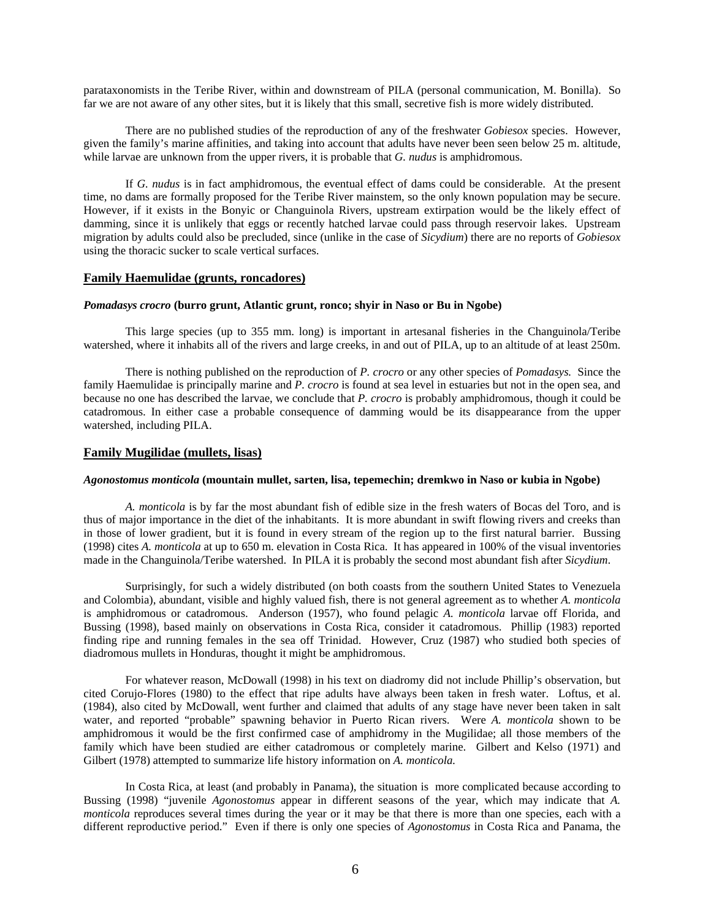parataxonomists in the Teribe River, within and downstream of PILA (personal communication, M. Bonilla). So far we are not aware of any other sites, but it is likely that this small, secretive fish is more widely distributed.

 There are no published studies of the reproduction of any of the freshwater *Gobiesox* species. However, given the family's marine affinities, and taking into account that adults have never been seen below 25 m. altitude, while larvae are unknown from the upper rivers, it is probable that *G. nudus* is amphidromous.

 If *G. nudus* is in fact amphidromous, the eventual effect of dams could be considerable. At the present time, no dams are formally proposed for the Teribe River mainstem, so the only known population may be secure. However, if it exists in the Bonyic or Changuinola Rivers, upstream extirpation would be the likely effect of damming, since it is unlikely that eggs or recently hatched larvae could pass through reservoir lakes. Upstream migration by adults could also be precluded, since (unlike in the case of *Sicydium*) there are no reports of *Gobiesox* using the thoracic sucker to scale vertical surfaces.

#### **Family Haemulidae (grunts, roncadores)**

### *Pomadasys crocro* **(burro grunt, Atlantic grunt, ronco; shyir in Naso or Bu in Ngobe)**

 This large species (up to 355 mm. long) is important in artesanal fisheries in the Changuinola/Teribe watershed, where it inhabits all of the rivers and large creeks, in and out of PILA, up to an altitude of at least 250m.

 There is nothing published on the reproduction of *P. crocro* or any other species of *Pomadasys.* Since the family Haemulidae is principally marine and *P. crocro* is found at sea level in estuaries but not in the open sea, and because no one has described the larvae, we conclude that *P. crocro* is probably amphidromous, though it could be catadromous. In either case a probable consequence of damming would be its disappearance from the upper watershed, including PILA.

#### **Family Mugilidae (mullets, lisas)**

#### *Agonostomus monticola* **(mountain mullet, sarten, lisa, tepemechin; dremkwo in Naso or kubia in Ngobe)**

*A. monticola* is by far the most abundant fish of edible size in the fresh waters of Bocas del Toro, and is thus of major importance in the diet of the inhabitants. It is more abundant in swift flowing rivers and creeks than in those of lower gradient, but it is found in every stream of the region up to the first natural barrier. Bussing (1998) cites *A. monticola* at up to 650 m. elevation in Costa Rica. It has appeared in 100% of the visual inventories made in the Changuinola/Teribe watershed. In PILA it is probably the second most abundant fish after *Sicydium*.

 Surprisingly, for such a widely distributed (on both coasts from the southern United States to Venezuela and Colombia), abundant, visible and highly valued fish, there is not general agreement as to whether *A. monticola* is amphidromous or catadromous. Anderson (1957), who found pelagic *A. monticola* larvae off Florida, and Bussing (1998), based mainly on observations in Costa Rica, consider it catadromous. Phillip (1983) reported finding ripe and running females in the sea off Trinidad. However, Cruz (1987) who studied both species of diadromous mullets in Honduras, thought it might be amphidromous.

For whatever reason, McDowall (1998) in his text on diadromy did not include Phillip's observation, but cited Corujo-Flores (1980) to the effect that ripe adults have always been taken in fresh water. Loftus, et al. (1984), also cited by McDowall, went further and claimed that adults of any stage have never been taken in salt water, and reported "probable" spawning behavior in Puerto Rican rivers. Were *A. monticola* shown to be amphidromous it would be the first confirmed case of amphidromy in the Mugilidae; all those members of the family which have been studied are either catadromous or completely marine. Gilbert and Kelso (1971) and Gilbert (1978) attempted to summarize life history information on *A. monticola.* 

 In Costa Rica, at least (and probably in Panama), the situation is more complicated because according to Bussing (1998) "juvenile *Agonostomus* appear in different seasons of the year, which may indicate that *A. monticola* reproduces several times during the year or it may be that there is more than one species, each with a different reproductive period." Even if there is only one species of *Agonostomus* in Costa Rica and Panama, the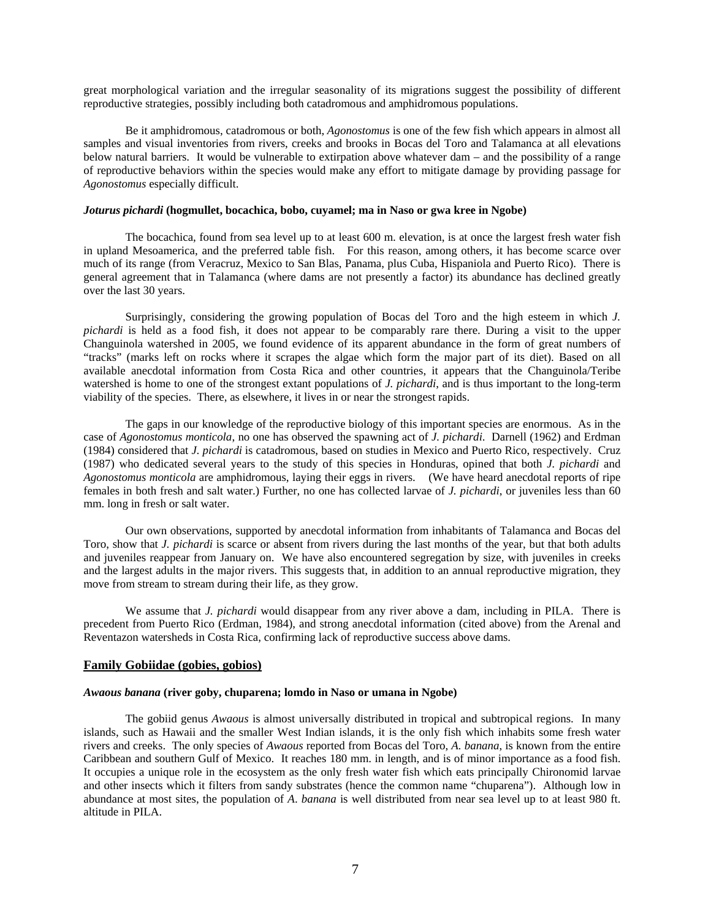great morphological variation and the irregular seasonality of its migrations suggest the possibility of different reproductive strategies, possibly including both catadromous and amphidromous populations.

 Be it amphidromous, catadromous or both, *Agonostomus* is one of the few fish which appears in almost all samples and visual inventories from rivers, creeks and brooks in Bocas del Toro and Talamanca at all elevations below natural barriers. It would be vulnerable to extirpation above whatever dam – and the possibility of a range of reproductive behaviors within the species would make any effort to mitigate damage by providing passage for *Agonostomus* especially difficult.

### *Joturus pichardi* **(hogmullet, bocachica, bobo, cuyamel; ma in Naso or gwa kree in Ngobe)**

 The bocachica, found from sea level up to at least 600 m. elevation, is at once the largest fresh water fish in upland Mesoamerica, and the preferred table fish. For this reason, among others, it has become scarce over much of its range (from Veracruz, Mexico to San Blas, Panama, plus Cuba, Hispaniola and Puerto Rico). There is general agreement that in Talamanca (where dams are not presently a factor) its abundance has declined greatly over the last 30 years.

Surprisingly, considering the growing population of Bocas del Toro and the high esteem in which *J. pichardi* is held as a food fish, it does not appear to be comparably rare there. During a visit to the upper Changuinola watershed in 2005, we found evidence of its apparent abundance in the form of great numbers of "tracks" (marks left on rocks where it scrapes the algae which form the major part of its diet). Based on all available anecdotal information from Costa Rica and other countries, it appears that the Changuinola/Teribe watershed is home to one of the strongest extant populations of *J. pichardi*, and is thus important to the long-term viability of the species. There, as elsewhere, it lives in or near the strongest rapids.

The gaps in our knowledge of the reproductive biology of this important species are enormous. As in the case of *Agonostomus monticola*, no one has observed the spawning act of *J. pichardi*. Darnell (1962) and Erdman (1984) considered that *J. pichardi* is catadromous, based on studies in Mexico and Puerto Rico, respectively. Cruz (1987) who dedicated several years to the study of this species in Honduras, opined that both *J. pichardi* and *Agonostomus monticola* are amphidromous, laying their eggs in rivers. (We have heard anecdotal reports of ripe females in both fresh and salt water.) Further, no one has collected larvae of *J. pichardi*, or juveniles less than 60 mm. long in fresh or salt water.

 Our own observations, supported by anecdotal information from inhabitants of Talamanca and Bocas del Toro, show that *J. pichardi* is scarce or absent from rivers during the last months of the year, but that both adults and juveniles reappear from January on. We have also encountered segregation by size, with juveniles in creeks and the largest adults in the major rivers. This suggests that, in addition to an annual reproductive migration, they move from stream to stream during their life, as they grow.

 We assume that *J. pichardi* would disappear from any river above a dam, including in PILA. There is precedent from Puerto Rico (Erdman, 1984), and strong anecdotal information (cited above) from the Arenal and Reventazon watersheds in Costa Rica, confirming lack of reproductive success above dams.

#### **Family Gobiidae (gobies, gobios)**

#### *Awaous banana* **(river goby, chuparena; lomdo in Naso or umana in Ngobe)**

 The gobiid genus *Awaous* is almost universally distributed in tropical and subtropical regions. In many islands, such as Hawaii and the smaller West Indian islands, it is the only fish which inhabits some fresh water rivers and creeks. The only species of *Awaous* reported from Bocas del Toro, *A. banana*, is known from the entire Caribbean and southern Gulf of Mexico. It reaches 180 mm. in length, and is of minor importance as a food fish. It occupies a unique role in the ecosystem as the only fresh water fish which eats principally Chironomid larvae and other insects which it filters from sandy substrates (hence the common name "chuparena"). Although low in abundance at most sites, the population of *A*. *banana* is well distributed from near sea level up to at least 980 ft. altitude in PILA.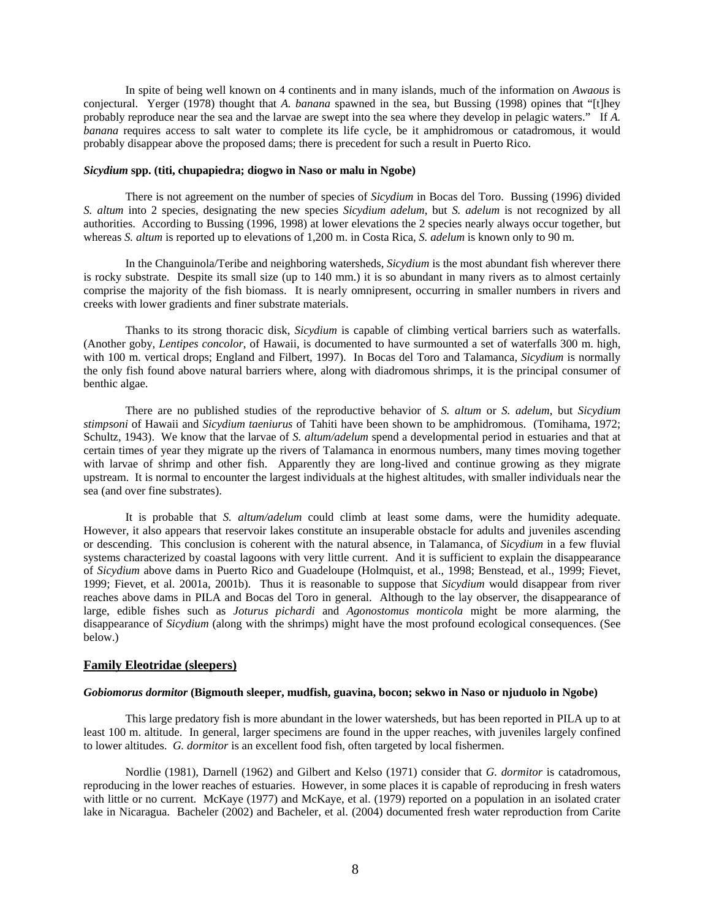In spite of being well known on 4 continents and in many islands, much of the information on *Awaous* is conjectural. Yerger (1978) thought that *A. banana* spawned in the sea, but Bussing (1998) opines that "[t]hey probably reproduce near the sea and the larvae are swept into the sea where they develop in pelagic waters." If *A. banana* requires access to salt water to complete its life cycle, be it amphidromous or catadromous, it would probably disappear above the proposed dams; there is precedent for such a result in Puerto Rico.

#### *Sicydium* **spp. (titi, chupapiedra; diogwo in Naso or malu in Ngobe)**

 There is not agreement on the number of species of *Sicydium* in Bocas del Toro. Bussing (1996) divided *S. altum* into 2 species, designating the new species *Sicydium adelum*, but *S. adelum* is not recognized by all authorities. According to Bussing (1996, 1998) at lower elevations the 2 species nearly always occur together, but whereas *S. altum* is reported up to elevations of 1,200 m. in Costa Rica, *S. adelum* is known only to 90 m.

 In the Changuinola/Teribe and neighboring watersheds, *Sicydium* is the most abundant fish wherever there is rocky substrate. Despite its small size (up to 140 mm.) it is so abundant in many rivers as to almost certainly comprise the majority of the fish biomass. It is nearly omnipresent, occurring in smaller numbers in rivers and creeks with lower gradients and finer substrate materials.

 Thanks to its strong thoracic disk, *Sicydium* is capable of climbing vertical barriers such as waterfalls. (Another goby, *Lentipes concolor*, of Hawaii, is documented to have surmounted a set of waterfalls 300 m. high, with 100 m. vertical drops; England and Filbert, 1997). In Bocas del Toro and Talamanca, *Sicydium* is normally the only fish found above natural barriers where, along with diadromous shrimps, it is the principal consumer of benthic algae.

 There are no published studies of the reproductive behavior of *S. altum* or *S. adelum*, but *Sicydium stimpsoni* of Hawaii and *Sicydium taeniurus* of Tahiti have been shown to be amphidromous. (Tomihama, 1972; Schultz, 1943). We know that the larvae of *S. altum/adelum* spend a developmental period in estuaries and that at certain times of year they migrate up the rivers of Talamanca in enormous numbers, many times moving together with larvae of shrimp and other fish. Apparently they are long-lived and continue growing as they migrate upstream. It is normal to encounter the largest individuals at the highest altitudes, with smaller individuals near the sea (and over fine substrates).

 It is probable that *S. altum/adelum* could climb at least some dams, were the humidity adequate. However, it also appears that reservoir lakes constitute an insuperable obstacle for adults and juveniles ascending or descending. This conclusion is coherent with the natural absence, in Talamanca, of *Sicydium* in a few fluvial systems characterized by coastal lagoons with very little current. And it is sufficient to explain the disappearance of *Sicydium* above dams in Puerto Rico and Guadeloupe (Holmquist, et al., 1998; Benstead, et al., 1999; Fievet, 1999; Fievet, et al. 2001a, 2001b). Thus it is reasonable to suppose that *Sicydium* would disappear from river reaches above dams in PILA and Bocas del Toro in general. Although to the lay observer, the disappearance of large, edible fishes such as *Joturus pichardi* and *Agonostomus monticola* might be more alarming, the disappearance of *Sicydium* (along with the shrimps) might have the most profound ecological consequences. (See below.)

#### **Family Eleotridae (sleepers)**

#### *Gobiomorus dormitor* **(Bigmouth sleeper, mudfish, guavina, bocon; sekwo in Naso or njuduolo in Ngobe)**

 This large predatory fish is more abundant in the lower watersheds, but has been reported in PILA up to at least 100 m. altitude. In general, larger specimens are found in the upper reaches, with juveniles largely confined to lower altitudes. *G. dormitor* is an excellent food fish, often targeted by local fishermen.

 Nordlie (1981), Darnell (1962) and Gilbert and Kelso (1971) consider that *G. dormitor* is catadromous, reproducing in the lower reaches of estuaries. However, in some places it is capable of reproducing in fresh waters with little or no current. McKaye (1977) and McKaye, et al. (1979) reported on a population in an isolated crater lake in Nicaragua. Bacheler (2002) and Bacheler, et al. (2004) documented fresh water reproduction from Carite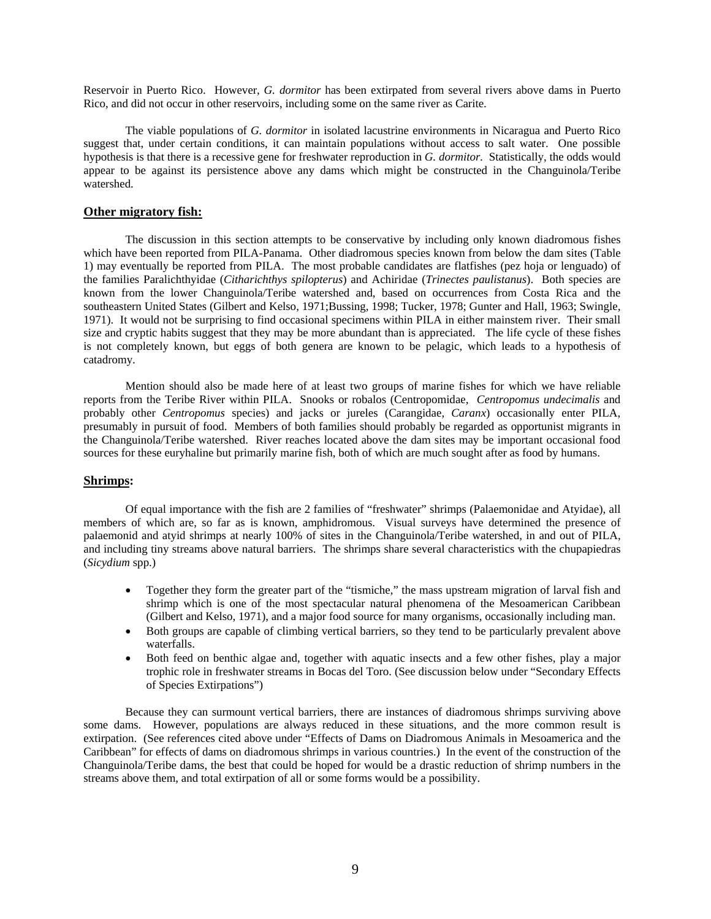Reservoir in Puerto Rico. However, *G. dormitor* has been extirpated from several rivers above dams in Puerto Rico, and did not occur in other reservoirs, including some on the same river as Carite.

 The viable populations of *G. dormitor* in isolated lacustrine environments in Nicaragua and Puerto Rico suggest that, under certain conditions, it can maintain populations without access to salt water. One possible hypothesis is that there is a recessive gene for freshwater reproduction in *G. dormitor.* Statistically, the odds would appear to be against its persistence above any dams which might be constructed in the Changuinola/Teribe watershed.

### **Other migratory fish:**

 The discussion in this section attempts to be conservative by including only known diadromous fishes which have been reported from PILA-Panama. Other diadromous species known from below the dam sites (Table 1) may eventually be reported from PILA. The most probable candidates are flatfishes (pez hoja or lenguado) of the families Paralichthyidae (*Citharichthys spilopterus*) and Achiridae (*Trinectes paulistanus*). Both species are known from the lower Changuinola/Teribe watershed and, based on occurrences from Costa Rica and the southeastern United States (Gilbert and Kelso, 1971;Bussing, 1998; Tucker, 1978; Gunter and Hall, 1963; Swingle, 1971). It would not be surprising to find occasional specimens within PILA in either mainstem river. Their small size and cryptic habits suggest that they may be more abundant than is appreciated. The life cycle of these fishes is not completely known, but eggs of both genera are known to be pelagic, which leads to a hypothesis of catadromy.

 Mention should also be made here of at least two groups of marine fishes for which we have reliable reports from the Teribe River within PILA. Snooks or robalos (Centropomidae, *Centropomus undecimalis* and probably other *Centropomus* species) and jacks or jureles (Carangidae, *Caranx*) occasionally enter PILA, presumably in pursuit of food. Members of both families should probably be regarded as opportunist migrants in the Changuinola/Teribe watershed. River reaches located above the dam sites may be important occasional food sources for these euryhaline but primarily marine fish, both of which are much sought after as food by humans.

### **Shrimps:**

Of equal importance with the fish are 2 families of "freshwater" shrimps (Palaemonidae and Atyidae), all members of which are, so far as is known, amphidromous. Visual surveys have determined the presence of palaemonid and atyid shrimps at nearly 100% of sites in the Changuinola/Teribe watershed, in and out of PILA, and including tiny streams above natural barriers. The shrimps share several characteristics with the chupapiedras (*Sicydium* spp.)

- Together they form the greater part of the "tismiche," the mass upstream migration of larval fish and shrimp which is one of the most spectacular natural phenomena of the Mesoamerican Caribbean (Gilbert and Kelso, 1971), and a major food source for many organisms, occasionally including man.
- Both groups are capable of climbing vertical barriers, so they tend to be particularly prevalent above waterfalls.
- Both feed on benthic algae and, together with aquatic insects and a few other fishes, play a major trophic role in freshwater streams in Bocas del Toro. (See discussion below under "Secondary Effects of Species Extirpations")

Because they can surmount vertical barriers, there are instances of diadromous shrimps surviving above some dams. However, populations are always reduced in these situations, and the more common result is extirpation. (See references cited above under "Effects of Dams on Diadromous Animals in Mesoamerica and the Caribbean" for effects of dams on diadromous shrimps in various countries.) In the event of the construction of the Changuinola/Teribe dams, the best that could be hoped for would be a drastic reduction of shrimp numbers in the streams above them, and total extirpation of all or some forms would be a possibility.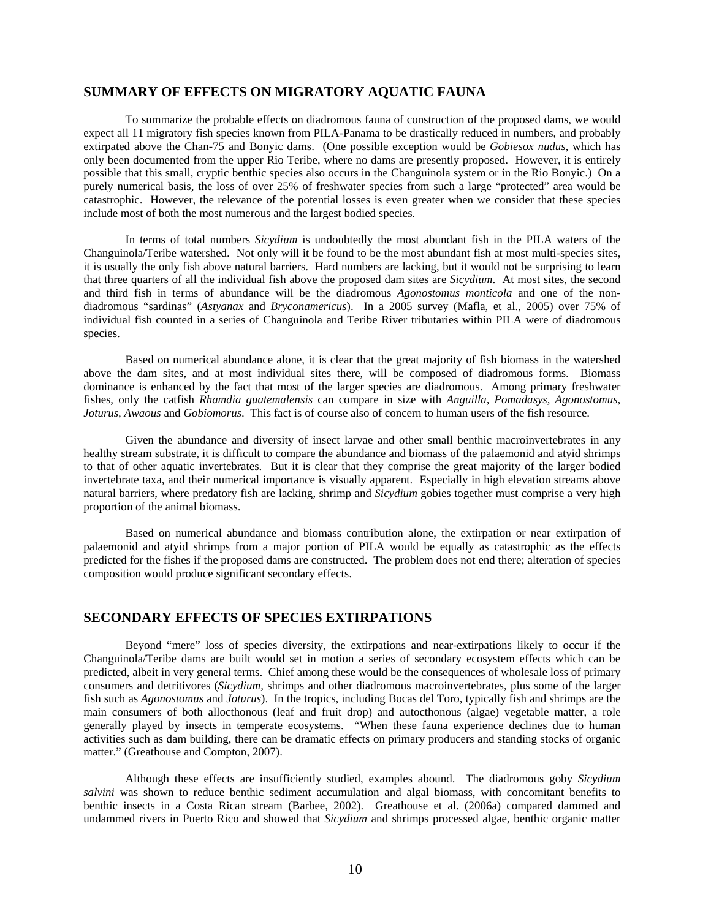## **SUMMARY OF EFFECTS ON MIGRATORY AQUATIC FAUNA**

 To summarize the probable effects on diadromous fauna of construction of the proposed dams, we would expect all 11 migratory fish species known from PILA-Panama to be drastically reduced in numbers, and probably extirpated above the Chan-75 and Bonyic dams. (One possible exception would be *Gobiesox nudus*, which has only been documented from the upper Rio Teribe, where no dams are presently proposed. However, it is entirely possible that this small, cryptic benthic species also occurs in the Changuinola system or in the Rio Bonyic.) On a purely numerical basis, the loss of over 25% of freshwater species from such a large "protected" area would be catastrophic. However, the relevance of the potential losses is even greater when we consider that these species include most of both the most numerous and the largest bodied species.

 In terms of total numbers *Sicydium* is undoubtedly the most abundant fish in the PILA waters of the Changuinola/Teribe watershed. Not only will it be found to be the most abundant fish at most multi-species sites, it is usually the only fish above natural barriers. Hard numbers are lacking, but it would not be surprising to learn that three quarters of all the individual fish above the proposed dam sites are *Sicydium*. At most sites, the second and third fish in terms of abundance will be the diadromous *Agonostomus monticola* and one of the nondiadromous "sardinas" (*Astyanax* and *Bryconamericus*). In a 2005 survey (Mafla, et al., 2005) over 75% of individual fish counted in a series of Changuinola and Teribe River tributaries within PILA were of diadromous species.

 Based on numerical abundance alone, it is clear that the great majority of fish biomass in the watershed above the dam sites, and at most individual sites there, will be composed of diadromous forms. Biomass dominance is enhanced by the fact that most of the larger species are diadromous. Among primary freshwater fishes, only the catfish *Rhamdia guatemalensis* can compare in size with *Anguilla, Pomadasys, Agonostomus, Joturus, Awaous* and *Gobiomorus*. This fact is of course also of concern to human users of the fish resource.

Given the abundance and diversity of insect larvae and other small benthic macroinvertebrates in any healthy stream substrate, it is difficult to compare the abundance and biomass of the palaemonid and atyid shrimps to that of other aquatic invertebrates. But it is clear that they comprise the great majority of the larger bodied invertebrate taxa, and their numerical importance is visually apparent. Especially in high elevation streams above natural barriers, where predatory fish are lacking, shrimp and *Sicydium* gobies together must comprise a very high proportion of the animal biomass.

 Based on numerical abundance and biomass contribution alone, the extirpation or near extirpation of palaemonid and atyid shrimps from a major portion of PILA would be equally as catastrophic as the effects predicted for the fishes if the proposed dams are constructed. The problem does not end there; alteration of species composition would produce significant secondary effects.

### **SECONDARY EFFECTS OF SPECIES EXTIRPATIONS**

 Beyond "mere" loss of species diversity, the extirpations and near-extirpations likely to occur if the Changuinola/Teribe dams are built would set in motion a series of secondary ecosystem effects which can be predicted, albeit in very general terms. Chief among these would be the consequences of wholesale loss of primary consumers and detritivores (*Sicydium,* shrimps and other diadromous macroinvertebrates, plus some of the larger fish such as *Agonostomus* and *Joturus*). In the tropics, including Bocas del Toro, typically fish and shrimps are the main consumers of both allocthonous (leaf and fruit drop) and autocthonous (algae) vegetable matter, a role generally played by insects in temperate ecosystems. "When these fauna experience declines due to human activities such as dam building, there can be dramatic effects on primary producers and standing stocks of organic matter." (Greathouse and Compton, 2007).

 Although these effects are insufficiently studied, examples abound. The diadromous goby *Sicydium salvini* was shown to reduce benthic sediment accumulation and algal biomass, with concomitant benefits to benthic insects in a Costa Rican stream (Barbee, 2002). Greathouse et al. (2006a) compared dammed and undammed rivers in Puerto Rico and showed that *Sicydium* and shrimps processed algae, benthic organic matter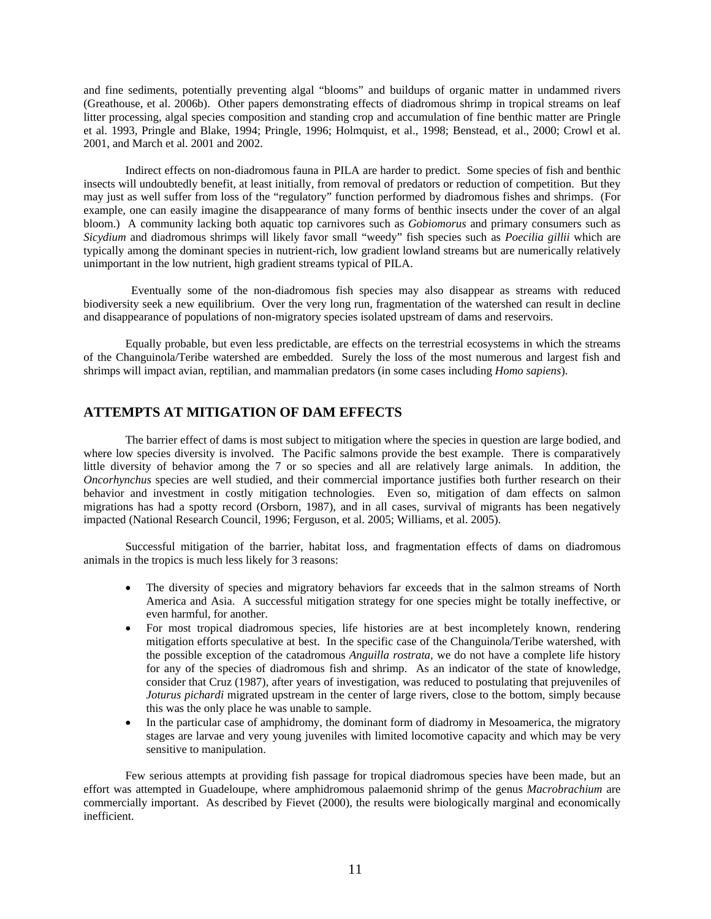and fine sediments, potentially preventing algal "blooms" and buildups of organic matter in undammed rivers (Greathouse, et al. 2006b). Other papers demonstrating effects of diadromous shrimp in tropical streams on leaf litter processing, algal species composition and standing crop and accumulation of fine benthic matter are Pringle et al. 1993, Pringle and Blake, 1994; Pringle, 1996; Holmquist, et al., 1998; Benstead, et al., 2000; Crowl et al. 2001, and March et al. 2001 and 2002.

 Indirect effects on non-diadromous fauna in PILA are harder to predict. Some species of fish and benthic insects will undoubtedly benefit, at least initially, from removal of predators or reduction of competition. But they may just as well suffer from loss of the "regulatory" function performed by diadromous fishes and shrimps. (For example, one can easily imagine the disappearance of many forms of benthic insects under the cover of an algal bloom.) A community lacking both aquatic top carnivores such as *Gobiomorus* and primary consumers such as *Sicydium* and diadromous shrimps will likely favor small "weedy" fish species such as *Poecilia gillii* which are typically among the dominant species in nutrient-rich, low gradient lowland streams but are numerically relatively unimportant in the low nutrient, high gradient streams typical of PILA.

 Eventually some of the non-diadromous fish species may also disappear as streams with reduced biodiversity seek a new equilibrium. Over the very long run, fragmentation of the watershed can result in decline and disappearance of populations of non-migratory species isolated upstream of dams and reservoirs.

 Equally probable, but even less predictable, are effects on the terrestrial ecosystems in which the streams of the Changuinola/Teribe watershed are embedded. Surely the loss of the most numerous and largest fish and shrimps will impact avian, reptilian, and mammalian predators (in some cases including *Homo sapiens*).

# **ATTEMPTS AT MITIGATION OF DAM EFFECTS**

The barrier effect of dams is most subject to mitigation where the species in question are large bodied, and where low species diversity is involved. The Pacific salmons provide the best example. There is comparatively little diversity of behavior among the 7 or so species and all are relatively large animals. In addition, the *Oncorhynchus* species are well studied, and their commercial importance justifies both further research on their behavior and investment in costly mitigation technologies. Even so, mitigation of dam effects on salmon migrations has had a spotty record (Orsborn, 1987), and in all cases, survival of migrants has been negatively impacted (National Research Council, 1996; Ferguson, et al. 2005; Williams, et al. 2005).

 Successful mitigation of the barrier, habitat loss, and fragmentation effects of dams on diadromous animals in the tropics is much less likely for 3 reasons:

- The diversity of species and migratory behaviors far exceeds that in the salmon streams of North America and Asia. A successful mitigation strategy for one species might be totally ineffective, or even harmful, for another.
- For most tropical diadromous species, life histories are at best incompletely known, rendering mitigation efforts speculative at best. In the specific case of the Changuinola/Teribe watershed, with the possible exception of the catadromous *Anguilla rostrata,* we do not have a complete life history for any of the species of diadromous fish and shrimp. As an indicator of the state of knowledge, consider that Cruz (1987), after years of investigation, was reduced to postulating that prejuveniles of *Joturus pichardi* migrated upstream in the center of large rivers, close to the bottom, simply because this was the only place he was unable to sample.
- In the particular case of amphidromy, the dominant form of diadromy in Mesoamerica, the migratory stages are larvae and very young juveniles with limited locomotive capacity and which may be very sensitive to manipulation.

 Few serious attempts at providing fish passage for tropical diadromous species have been made, but an effort was attempted in Guadeloupe, where amphidromous palaemonid shrimp of the genus *Macrobrachium* are commercially important. As described by Fievet (2000), the results were biologically marginal and economically inefficient.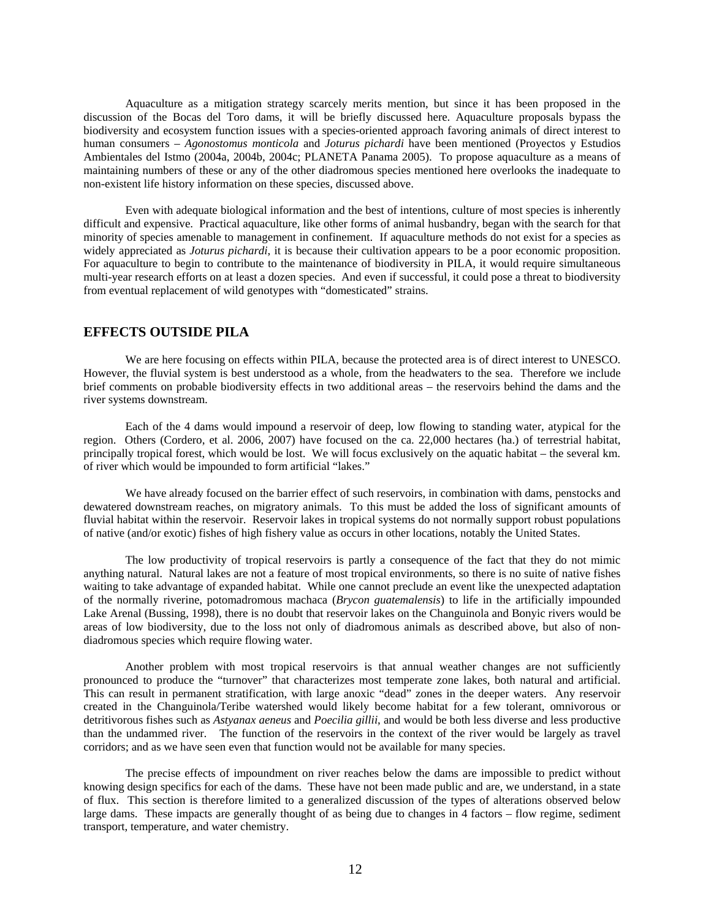Aquaculture as a mitigation strategy scarcely merits mention, but since it has been proposed in the discussion of the Bocas del Toro dams, it will be briefly discussed here. Aquaculture proposals bypass the biodiversity and ecosystem function issues with a species-oriented approach favoring animals of direct interest to human consumers – *Agonostomus monticola* and *Joturus pichardi* have been mentioned (Proyectos y Estudios Ambientales del Istmo (2004a, 2004b, 2004c; PLANETA Panama 2005). To propose aquaculture as a means of maintaining numbers of these or any of the other diadromous species mentioned here overlooks the inadequate to non-existent life history information on these species, discussed above.

 Even with adequate biological information and the best of intentions, culture of most species is inherently difficult and expensive. Practical aquaculture, like other forms of animal husbandry, began with the search for that minority of species amenable to management in confinement. If aquaculture methods do not exist for a species as widely appreciated as *Joturus pichardi*, it is because their cultivation appears to be a poor economic proposition. For aquaculture to begin to contribute to the maintenance of biodiversity in PILA, it would require simultaneous multi-year research efforts on at least a dozen species. And even if successful, it could pose a threat to biodiversity from eventual replacement of wild genotypes with "domesticated" strains.

## **EFFECTS OUTSIDE PILA**

 We are here focusing on effects within PILA, because the protected area is of direct interest to UNESCO. However, the fluvial system is best understood as a whole, from the headwaters to the sea. Therefore we include brief comments on probable biodiversity effects in two additional areas – the reservoirs behind the dams and the river systems downstream.

 Each of the 4 dams would impound a reservoir of deep, low flowing to standing water, atypical for the region. Others (Cordero, et al. 2006, 2007) have focused on the ca. 22,000 hectares (ha.) of terrestrial habitat, principally tropical forest, which would be lost. We will focus exclusively on the aquatic habitat – the several km. of river which would be impounded to form artificial "lakes."

We have already focused on the barrier effect of such reservoirs, in combination with dams, penstocks and dewatered downstream reaches, on migratory animals. To this must be added the loss of significant amounts of fluvial habitat within the reservoir. Reservoir lakes in tropical systems do not normally support robust populations of native (and/or exotic) fishes of high fishery value as occurs in other locations, notably the United States.

 The low productivity of tropical reservoirs is partly a consequence of the fact that they do not mimic anything natural. Natural lakes are not a feature of most tropical environments, so there is no suite of native fishes waiting to take advantage of expanded habitat. While one cannot preclude an event like the unexpected adaptation of the normally riverine, potomadromous machaca (*Brycon guatemalensis*) to life in the artificially impounded Lake Arenal (Bussing, 1998), there is no doubt that reservoir lakes on the Changuinola and Bonyic rivers would be areas of low biodiversity, due to the loss not only of diadromous animals as described above, but also of nondiadromous species which require flowing water.

 Another problem with most tropical reservoirs is that annual weather changes are not sufficiently pronounced to produce the "turnover" that characterizes most temperate zone lakes, both natural and artificial. This can result in permanent stratification, with large anoxic "dead" zones in the deeper waters. Any reservoir created in the Changuinola/Teribe watershed would likely become habitat for a few tolerant, omnivorous or detritivorous fishes such as *Astyanax aeneus* and *Poecilia gillii*, and would be both less diverse and less productive than the undammed river. The function of the reservoirs in the context of the river would be largely as travel corridors; and as we have seen even that function would not be available for many species.

 The precise effects of impoundment on river reaches below the dams are impossible to predict without knowing design specifics for each of the dams. These have not been made public and are, we understand, in a state of flux. This section is therefore limited to a generalized discussion of the types of alterations observed below large dams. These impacts are generally thought of as being due to changes in 4 factors – flow regime, sediment transport, temperature, and water chemistry.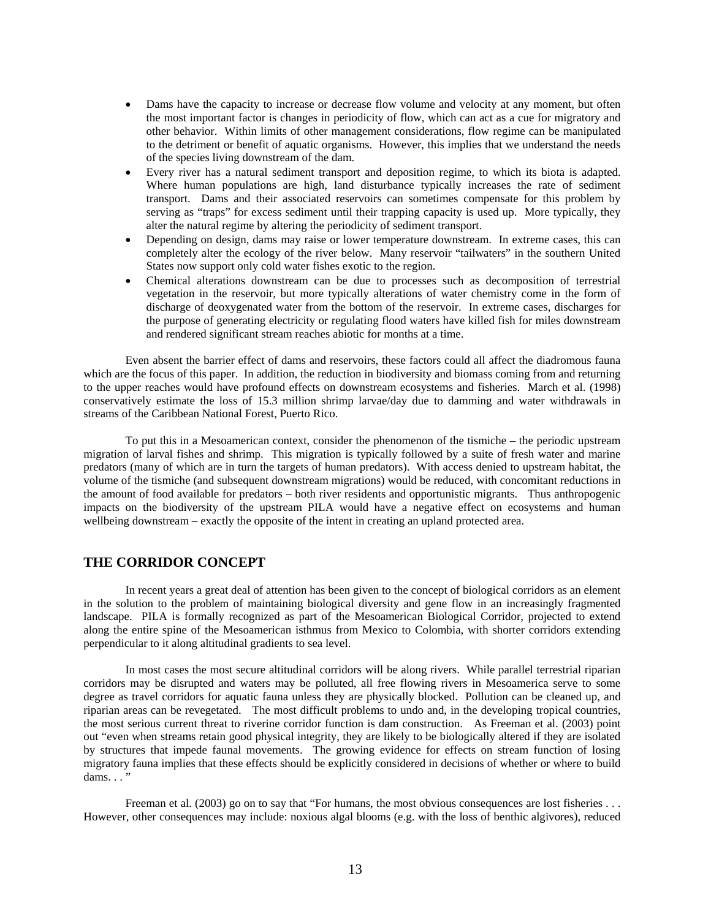- Dams have the capacity to increase or decrease flow volume and velocity at any moment, but often the most important factor is changes in periodicity of flow, which can act as a cue for migratory and other behavior. Within limits of other management considerations, flow regime can be manipulated to the detriment or benefit of aquatic organisms. However, this implies that we understand the needs of the species living downstream of the dam.
- Every river has a natural sediment transport and deposition regime, to which its biota is adapted. Where human populations are high, land disturbance typically increases the rate of sediment transport. Dams and their associated reservoirs can sometimes compensate for this problem by serving as "traps" for excess sediment until their trapping capacity is used up. More typically, they alter the natural regime by altering the periodicity of sediment transport.
- Depending on design, dams may raise or lower temperature downstream. In extreme cases, this can completely alter the ecology of the river below. Many reservoir "tailwaters" in the southern United States now support only cold water fishes exotic to the region.
- Chemical alterations downstream can be due to processes such as decomposition of terrestrial vegetation in the reservoir, but more typically alterations of water chemistry come in the form of discharge of deoxygenated water from the bottom of the reservoir. In extreme cases, discharges for the purpose of generating electricity or regulating flood waters have killed fish for miles downstream and rendered significant stream reaches abiotic for months at a time.

 Even absent the barrier effect of dams and reservoirs, these factors could all affect the diadromous fauna which are the focus of this paper. In addition, the reduction in biodiversity and biomass coming from and returning to the upper reaches would have profound effects on downstream ecosystems and fisheries. March et al. (1998) conservatively estimate the loss of 15.3 million shrimp larvae/day due to damming and water withdrawals in streams of the Caribbean National Forest, Puerto Rico.

 To put this in a Mesoamerican context, consider the phenomenon of the tismiche – the periodic upstream migration of larval fishes and shrimp. This migration is typically followed by a suite of fresh water and marine predators (many of which are in turn the targets of human predators). With access denied to upstream habitat, the volume of the tismiche (and subsequent downstream migrations) would be reduced, with concomitant reductions in the amount of food available for predators – both river residents and opportunistic migrants. Thus anthropogenic impacts on the biodiversity of the upstream PILA would have a negative effect on ecosystems and human wellbeing downstream – exactly the opposite of the intent in creating an upland protected area.

# **THE CORRIDOR CONCEPT**

 In recent years a great deal of attention has been given to the concept of biological corridors as an element in the solution to the problem of maintaining biological diversity and gene flow in an increasingly fragmented landscape. PILA is formally recognized as part of the Mesoamerican Biological Corridor, projected to extend along the entire spine of the Mesoamerican isthmus from Mexico to Colombia, with shorter corridors extending perpendicular to it along altitudinal gradients to sea level.

 In most cases the most secure altitudinal corridors will be along rivers. While parallel terrestrial riparian corridors may be disrupted and waters may be polluted, all free flowing rivers in Mesoamerica serve to some degree as travel corridors for aquatic fauna unless they are physically blocked. Pollution can be cleaned up, and riparian areas can be revegetated. The most difficult problems to undo and, in the developing tropical countries, the most serious current threat to riverine corridor function is dam construction. As Freeman et al. (2003) point out "even when streams retain good physical integrity, they are likely to be biologically altered if they are isolated by structures that impede faunal movements. The growing evidence for effects on stream function of losing migratory fauna implies that these effects should be explicitly considered in decisions of whether or where to build dams.  $\ldots$ "

Freeman et al. (2003) go on to say that "For humans, the most obvious consequences are lost fisheries . . . However, other consequences may include: noxious algal blooms (e.g. with the loss of benthic algivores), reduced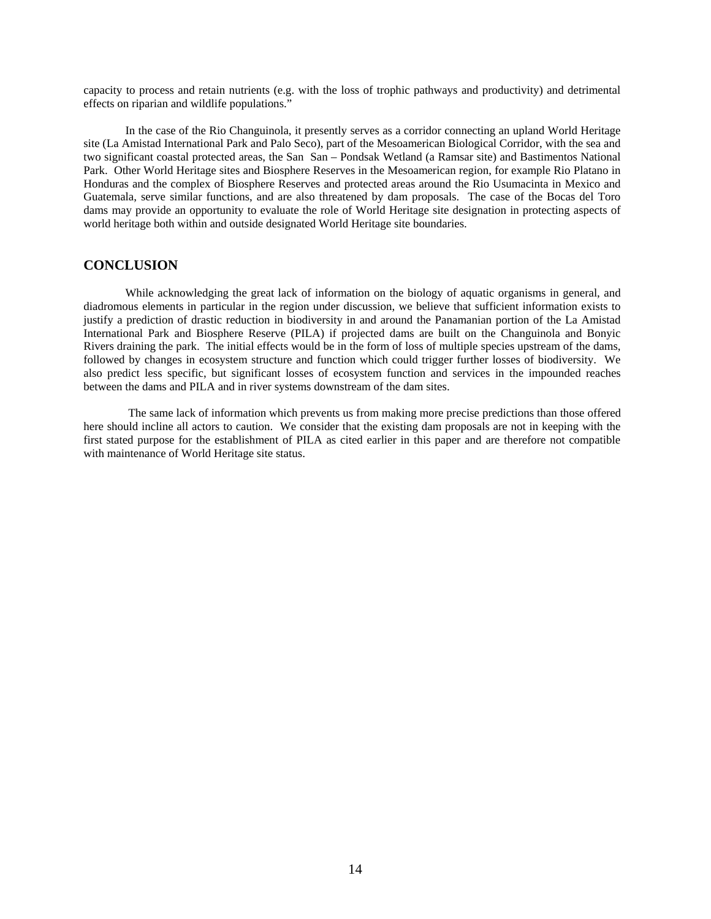capacity to process and retain nutrients (e.g. with the loss of trophic pathways and productivity) and detrimental effects on riparian and wildlife populations."

 In the case of the Rio Changuinola, it presently serves as a corridor connecting an upland World Heritage site (La Amistad International Park and Palo Seco), part of the Mesoamerican Biological Corridor, with the sea and two significant coastal protected areas, the San San – Pondsak Wetland (a Ramsar site) and Bastimentos National Park. Other World Heritage sites and Biosphere Reserves in the Mesoamerican region, for example Rio Platano in Honduras and the complex of Biosphere Reserves and protected areas around the Rio Usumacinta in Mexico and Guatemala, serve similar functions, and are also threatened by dam proposals. The case of the Bocas del Toro dams may provide an opportunity to evaluate the role of World Heritage site designation in protecting aspects of world heritage both within and outside designated World Heritage site boundaries.

## **CONCLUSION**

While acknowledging the great lack of information on the biology of aquatic organisms in general, and diadromous elements in particular in the region under discussion, we believe that sufficient information exists to justify a prediction of drastic reduction in biodiversity in and around the Panamanian portion of the La Amistad International Park and Biosphere Reserve (PILA) if projected dams are built on the Changuinola and Bonyic Rivers draining the park. The initial effects would be in the form of loss of multiple species upstream of the dams, followed by changes in ecosystem structure and function which could trigger further losses of biodiversity. We also predict less specific, but significant losses of ecosystem function and services in the impounded reaches between the dams and PILA and in river systems downstream of the dam sites.

 The same lack of information which prevents us from making more precise predictions than those offered here should incline all actors to caution. We consider that the existing dam proposals are not in keeping with the first stated purpose for the establishment of PILA as cited earlier in this paper and are therefore not compatible with maintenance of World Heritage site status.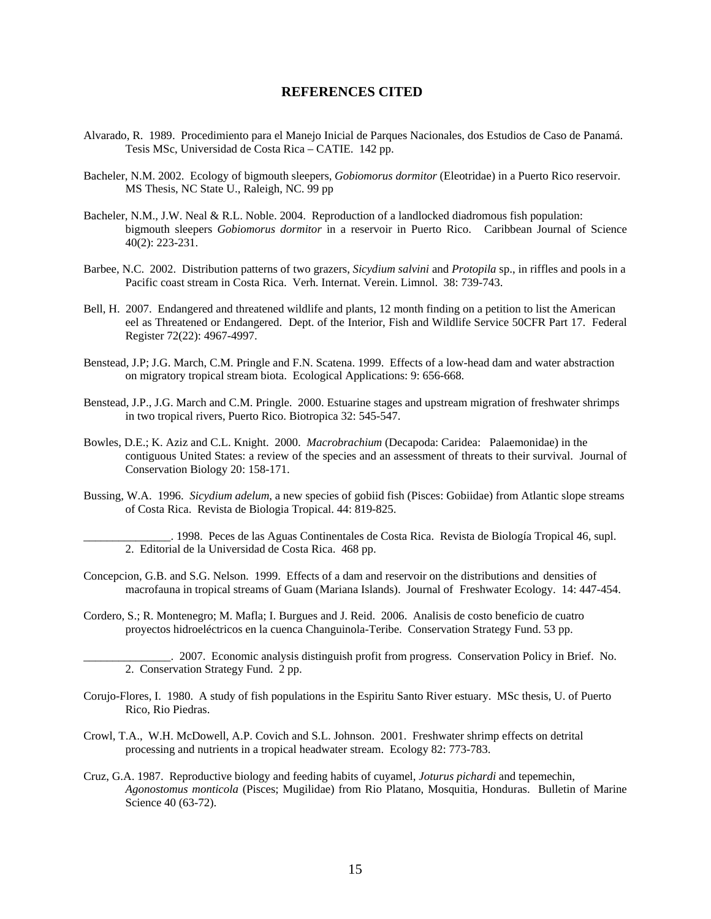## **REFERENCES CITED**

- Alvarado, R. 1989. Procedimiento para el Manejo Inicial de Parques Nacionales, dos Estudios de Caso de Panamá. Tesis MSc, Universidad de Costa Rica – CATIE. 142 pp.
- Bacheler, N.M. 2002. Ecology of bigmouth sleepers, *Gobiomorus dormitor* (Eleotridae) in a Puerto Rico reservoir. MS Thesis, NC State U., Raleigh, NC. 99 pp
- Bacheler, N.M., J.W. Neal & R.L. Noble. 2004. Reproduction of a landlocked diadromous fish population: bigmouth sleepers *Gobiomorus dormitor* in a reservoir in Puerto Rico. Caribbean Journal of Science 40(2): 223-231.
- Barbee, N.C. 2002. Distribution patterns of two grazers, *Sicydium salvini* and *Protopila* sp., in riffles and pools in a Pacific coast stream in Costa Rica. Verh. Internat. Verein. Limnol. 38: 739-743.
- Bell, H. 2007. Endangered and threatened wildlife and plants, 12 month finding on a petition to list the American eel as Threatened or Endangered. Dept. of the Interior, Fish and Wildlife Service 50CFR Part 17. Federal Register 72(22): 4967-4997.
- Benstead, J.P; J.G. March, C.M. Pringle and F.N. Scatena. 1999. Effects of a low-head dam and water abstraction on migratory tropical stream biota. Ecological Applications: 9: 656-668.
- Benstead, J.P., J.G. March and C.M. Pringle. 2000. Estuarine stages and upstream migration of freshwater shrimps in two tropical rivers, Puerto Rico. Biotropica 32: 545-547.
- Bowles, D.E.; K. Aziz and C.L. Knight. 2000. *Macrobrachium* (Decapoda: Caridea: Palaemonidae) in the contiguous United States: a review of the species and an assessment of threats to their survival. Journal of Conservation Biology 20: 158-171.
- Bussing, W.A. 1996. *Sicydium adelum*, a new species of gobiid fish (Pisces: Gobiidae) from Atlantic slope streams of Costa Rica. Revista de Biologia Tropical. 44: 819-825.
	- \_\_\_\_\_\_\_\_\_\_\_\_\_\_\_. 1998. Peces de las Aguas Continentales de Costa Rica. Revista de Biología Tropical 46, supl. 2. Editorial de la Universidad de Costa Rica. 468 pp.
- Concepcion, G.B. and S.G. Nelson. 1999. Effects of a dam and reservoir on the distributions and densities of macrofauna in tropical streams of Guam (Mariana Islands). Journal of Freshwater Ecology. 14: 447-454.
- Cordero, S.; R. Montenegro; M. Mafla; I. Burgues and J. Reid. 2006. Analisis de costo beneficio de cuatro proyectos hidroeléctricos en la cuenca Changuinola-Teribe. Conservation Strategy Fund. 53 pp.
	- \_\_\_\_\_\_\_\_\_\_\_\_\_\_\_. 2007. Economic analysis distinguish profit from progress. Conservation Policy in Brief. No. 2. Conservation Strategy Fund. 2 pp.
- Corujo-Flores, I. 1980. A study of fish populations in the Espiritu Santo River estuary. MSc thesis, U. of Puerto Rico, Rio Piedras.
- Crowl, T.A., W.H. McDowell, A.P. Covich and S.L. Johnson. 2001. Freshwater shrimp effects on detrital processing and nutrients in a tropical headwater stream. Ecology 82: 773-783.
- Cruz, G.A. 1987. Reproductive biology and feeding habits of cuyamel, *Joturus pichardi* and tepemechin, *Agonostomus monticola* (Pisces; Mugilidae) from Rio Platano, Mosquitia, Honduras. Bulletin of Marine Science 40 (63-72).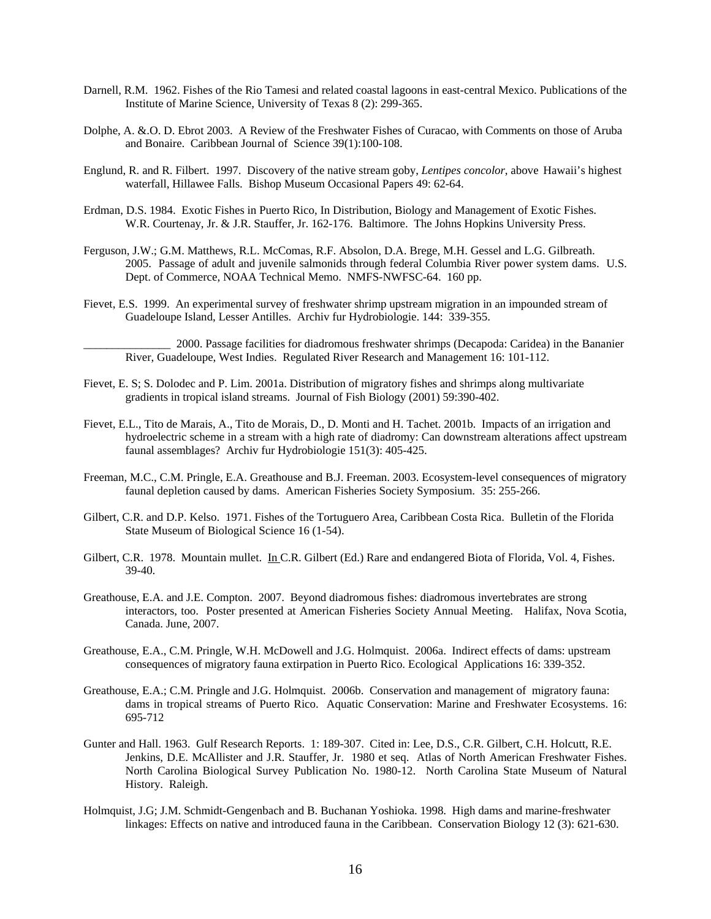- Darnell, R.M. 1962. Fishes of the Rio Tamesi and related coastal lagoons in east-central Mexico. Publications of the Institute of Marine Science, University of Texas 8 (2): 299-365.
- Dolphe, A. &.O. D. Ebrot 2003. A Review of the Freshwater Fishes of Curacao, with Comments on those of Aruba and Bonaire. Caribbean Journal of Science 39(1):100-108.
- Englund, R. and R. Filbert. 1997. Discovery of the native stream goby, *Lentipes concolor*, above Hawaii's highest waterfall, Hillawee Falls. Bishop Museum Occasional Papers 49: 62-64.
- Erdman, D.S. 1984. Exotic Fishes in Puerto Rico, In Distribution, Biology and Management of Exotic Fishes. W.R. Courtenay, Jr. & J.R. Stauffer, Jr. 162-176. Baltimore. The Johns Hopkins University Press.
- Ferguson, J.W.; G.M. Matthews, R.L. McComas, R.F. Absolon, D.A. Brege, M.H. Gessel and L.G. Gilbreath. 2005. Passage of adult and juvenile salmonids through federal Columbia River power system dams. U.S. Dept. of Commerce, NOAA Technical Memo. NMFS-NWFSC-64. 160 pp.
- Fievet, E.S. 1999. An experimental survey of freshwater shrimp upstream migration in an impounded stream of Guadeloupe Island, Lesser Antilles. Archiv fur Hydrobiologie. 144: 339-355.

\_\_\_\_\_\_\_\_\_\_\_\_\_\_\_ 2000. Passage facilities for diadromous freshwater shrimps (Decapoda: Caridea) in the Bananier River, Guadeloupe, West Indies. Regulated River Research and Management 16: 101-112.

- Fievet, E. S; S. Dolodec and P. Lim. 2001a. Distribution of migratory fishes and shrimps along multivariate gradients in tropical island streams. Journal of Fish Biology (2001) 59:390-402.
- Fievet, E.L., Tito de Marais, A., Tito de Morais, D., D. Monti and H. Tachet. 2001b. Impacts of an irrigation and hydroelectric scheme in a stream with a high rate of diadromy: Can downstream alterations affect upstream faunal assemblages? Archiv fur Hydrobiologie 151(3): 405-425.
- Freeman, M.C., C.M. Pringle, E.A. Greathouse and B.J. Freeman. 2003. Ecosystem-level consequences of migratory faunal depletion caused by dams. American Fisheries Society Symposium. 35: 255-266.
- Gilbert, C.R. and D.P. Kelso. 1971. Fishes of the Tortuguero Area, Caribbean Costa Rica. Bulletin of the Florida State Museum of Biological Science 16 (1-54).
- Gilbert, C.R. 1978. Mountain mullet. In C.R. Gilbert (Ed.) Rare and endangered Biota of Florida, Vol. 4, Fishes. 39-40.
- Greathouse, E.A. and J.E. Compton. 2007. Beyond diadromous fishes: diadromous invertebrates are strong interactors, too. Poster presented at American Fisheries Society Annual Meeting. Halifax, Nova Scotia, Canada. June, 2007.
- Greathouse, E.A., C.M. Pringle, W.H. McDowell and J.G. Holmquist. 2006a. Indirect effects of dams: upstream consequences of migratory fauna extirpation in Puerto Rico. Ecological Applications 16: 339-352.
- Greathouse, E.A.; C.M. Pringle and J.G. Holmquist. 2006b. Conservation and management of migratory fauna: dams in tropical streams of Puerto Rico. Aquatic Conservation: Marine and Freshwater Ecosystems. 16: 695-712
- Gunter and Hall. 1963. Gulf Research Reports. 1: 189-307. Cited in: Lee, D.S., C.R. Gilbert, C.H. Holcutt, R.E. Jenkins, D.E. McAllister and J.R. Stauffer, Jr. 1980 et seq. Atlas of North American Freshwater Fishes. North Carolina Biological Survey Publication No. 1980-12. North Carolina State Museum of Natural History. Raleigh.
- Holmquist, J.G; J.M. Schmidt-Gengenbach and B. Buchanan Yoshioka. 1998. High dams and marine-freshwater linkages: Effects on native and introduced fauna in the Caribbean. Conservation Biology 12 (3): 621-630.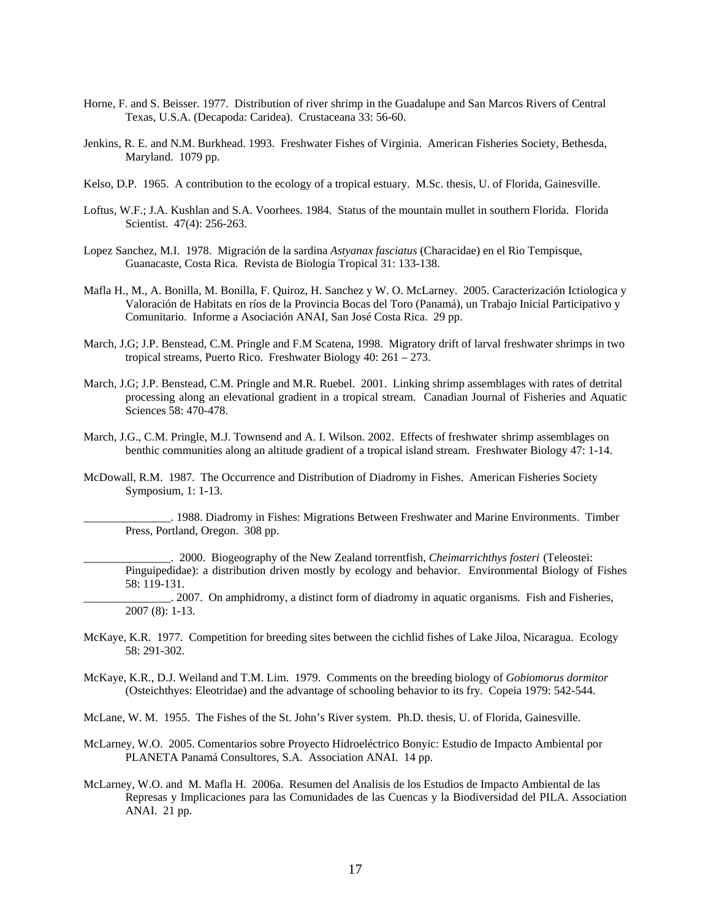- Horne, F. and S. Beisser. 1977. Distribution of river shrimp in the Guadalupe and San Marcos Rivers of Central Texas, U.S.A. (Decapoda: Caridea). Crustaceana 33: 56-60.
- Jenkins, R. E. and N.M. Burkhead. 1993. Freshwater Fishes of Virginia. American Fisheries Society, Bethesda, Maryland. 1079 pp.
- Kelso, D.P. 1965. A contribution to the ecology of a tropical estuary. M.Sc. thesis, U. of Florida, Gainesville.
- Loftus, W.F.; J.A. Kushlan and S.A. Voorhees. 1984. Status of the mountain mullet in southern Florida. Florida Scientist. 47(4): 256-263.
- Lopez Sanchez, M.I. 1978. Migración de la sardina *Astyanax fasciatus* (Characidae) en el Rio Tempisque, Guanacaste, Costa Rica. Revista de Biologia Tropical 31: 133-138.
- Mafla H., M., A. Bonilla, M. Bonilla, F. Quiroz, H. Sanchez y W. O. McLarney. 2005. Caracterización Ictiologica y Valoración de Habitats en ríos de la Provincia Bocas del Toro (Panamá), un Trabajo Inicial Participativo y Comunitario. Informe a Asociación ANAI, San José Costa Rica. 29 pp.
- March, J.G; J.P. Benstead, C.M. Pringle and F.M Scatena, 1998. Migratory drift of larval freshwater shrimps in two tropical streams, Puerto Rico. Freshwater Biology 40: 261 – 273.
- March, J.G; J.P. Benstead, C.M. Pringle and M.R. Ruebel. 2001. Linking shrimp assemblages with rates of detrital processing along an elevational gradient in a tropical stream. Canadian Journal of Fisheries and Aquatic Sciences 58: 470-478.
- March, J.G., C.M. Pringle, M.J. Townsend and A. I. Wilson. 2002. Effects of freshwater shrimp assemblages on benthic communities along an altitude gradient of a tropical island stream. Freshwater Biology 47: 1-14.
- McDowall, R.M. 1987. The Occurrence and Distribution of Diadromy in Fishes. American Fisheries Society Symposium, 1: 1-13.

\_\_\_\_\_\_\_\_\_\_\_\_\_\_\_. 1988. Diadromy in Fishes: Migrations Between Freshwater and Marine Environments. Timber Press, Portland, Oregon. 308 pp.

\_\_\_\_\_\_\_\_\_\_\_\_\_\_\_. 2000. Biogeography of the New Zealand torrentfish, *Cheimarrichthys fosteri* (Teleostei: Pinguipedidae): a distribution driven mostly by ecology and behavior. Environmental Biology of Fishes 58: 119-131.

\_\_\_\_\_\_\_\_\_\_\_\_\_\_\_. 2007. On amphidromy, a distinct form of diadromy in aquatic organisms. Fish and Fisheries, 2007 (8): 1-13.

- McKaye, K.R. 1977. Competition for breeding sites between the cichlid fishes of Lake Jiloa, Nicaragua. Ecology 58: 291-302.
- McKaye, K.R., D.J. Weiland and T.M. Lim. 1979. Comments on the breeding biology of *Gobiomorus dormitor* (Osteichthyes: Eleotridae) and the advantage of schooling behavior to its fry. Copeia 1979: 542-544.
- McLane, W. M. 1955. The Fishes of the St. John's River system. Ph.D. thesis, U. of Florida, Gainesville.
- McLarney, W.O. 2005. Comentarios sobre Proyecto Hidroeléctrico Bonyic: Estudio de Impacto Ambiental por PLANETA Panamá Consultores, S.A. Association ANAI. 14 pp.
- McLarney, W.O. and M. Mafla H. 2006a. Resumen del Analisis de los Estudios de Impacto Ambiental de las Represas y Implicaciones para las Comunidades de las Cuencas y la Biodiversidad del PILA. Association ANAI. 21 pp.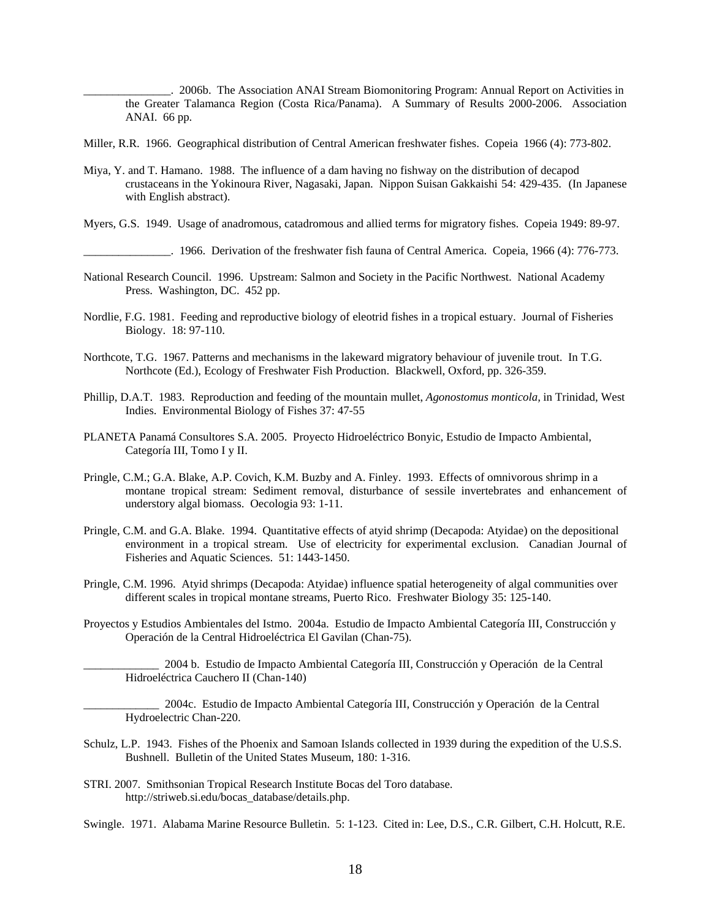\_\_\_\_\_\_\_\_\_\_\_\_\_\_\_. 2006b. The Association ANAI Stream Biomonitoring Program: Annual Report on Activities in the Greater Talamanca Region (Costa Rica/Panama). A Summary of Results 2000-2006. Association ANAI. 66 pp.

- Miller, R.R. 1966. Geographical distribution of Central American freshwater fishes. Copeia 1966 (4): 773-802.
- Miya, Y. and T. Hamano. 1988. The influence of a dam having no fishway on the distribution of decapod crustaceans in the Yokinoura River, Nagasaki, Japan. Nippon Suisan Gakkaishi 54: 429-435. (In Japanese with English abstract).
- Myers, G.S. 1949. Usage of anadromous, catadromous and allied terms for migratory fishes. Copeia 1949: 89-97.

\_\_\_\_\_\_\_\_\_\_\_\_\_\_\_. 1966. Derivation of the freshwater fish fauna of Central America. Copeia, 1966 (4): 776-773.

- National Research Council. 1996. Upstream: Salmon and Society in the Pacific Northwest. National Academy Press. Washington, DC. 452 pp.
- Nordlie, F.G. 1981. Feeding and reproductive biology of eleotrid fishes in a tropical estuary. Journal of Fisheries Biology. 18: 97-110.
- Northcote, T.G. 1967. Patterns and mechanisms in the lakeward migratory behaviour of juvenile trout. In T.G. Northcote (Ed.), Ecology of Freshwater Fish Production. Blackwell, Oxford, pp. 326-359.
- Phillip, D.A.T. 1983. Reproduction and feeding of the mountain mullet, *Agonostomus monticola,* in Trinidad, West Indies. Environmental Biology of Fishes 37: 47-55
- PLANETA Panamá Consultores S.A. 2005. Proyecto Hidroeléctrico Bonyic, Estudio de Impacto Ambiental, Categoría III, Tomo I y II.
- Pringle, C.M.; G.A. Blake, A.P. Covich, K.M. Buzby and A. Finley. 1993. Effects of omnivorous shrimp in a montane tropical stream: Sediment removal, disturbance of sessile invertebrates and enhancement of understory algal biomass. Oecologia 93: 1-11.
- Pringle, C.M. and G.A. Blake. 1994. Quantitative effects of atyid shrimp (Decapoda: Atyidae) on the depositional environment in a tropical stream. Use of electricity for experimental exclusion. Canadian Journal of Fisheries and Aquatic Sciences. 51: 1443-1450.
- Pringle, C.M. 1996. Atyid shrimps (Decapoda: Atyidae) influence spatial heterogeneity of algal communities over different scales in tropical montane streams, Puerto Rico. Freshwater Biology 35: 125-140.
- Proyectos y Estudios Ambientales del Istmo. 2004a. Estudio de Impacto Ambiental Categoría III, Construcción y Operación de la Central Hidroeléctrica El Gavilan (Chan-75).

\_\_\_\_\_\_\_\_\_\_\_\_\_ 2004 b. Estudio de Impacto Ambiental Categoría III, Construcción y Operación de la Central Hidroeléctrica Cauchero II (Chan-140)

\_\_\_\_\_\_\_\_\_\_\_\_\_ 2004c. Estudio de Impacto Ambiental Categoría III, Construcción y Operación de la Central Hydroelectric Chan-220.

- Schulz, L.P. 1943. Fishes of the Phoenix and Samoan Islands collected in 1939 during the expedition of the U.S.S. Bushnell. Bulletin of the United States Museum, 180: 1-316.
- STRI. 2007. Smithsonian Tropical Research Institute Bocas del Toro database. http://striweb.si.edu/bocas\_database/details.php.

Swingle. 1971. Alabama Marine Resource Bulletin. 5: 1-123. Cited in: Lee, D.S., C.R. Gilbert, C.H. Holcutt, R.E.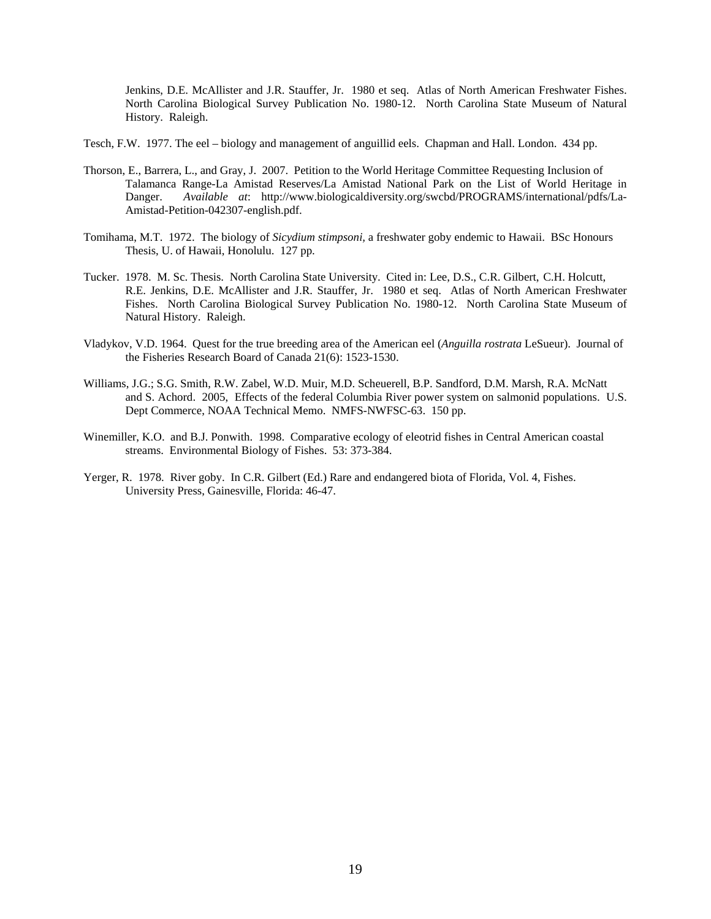Jenkins, D.E. McAllister and J.R. Stauffer, Jr. 1980 et seq. Atlas of North American Freshwater Fishes. North Carolina Biological Survey Publication No. 1980-12. North Carolina State Museum of Natural History. Raleigh.

Tesch, F.W. 1977. The eel – biology and management of anguillid eels. Chapman and Hall. London. 434 pp.

- Thorson, E., Barrera, L., and Gray, J. 2007. Petition to the World Heritage Committee Requesting Inclusion of Talamanca Range-La Amistad Reserves/La Amistad National Park on the List of World Heritage in Danger. *Available at*: http://www.biologicaldiversity.org/swcbd/PROGRAMS/international/pdfs/La-Amistad-Petition-042307-english.pdf.
- Tomihama, M.T. 1972. The biology of *Sicydium stimpsoni,* a freshwater goby endemic to Hawaii. BSc Honours Thesis, U. of Hawaii, Honolulu. 127 pp.
- Tucker. 1978. M. Sc. Thesis. North Carolina State University. Cited in: Lee, D.S., C.R. Gilbert, C.H. Holcutt, R.E. Jenkins, D.E. McAllister and J.R. Stauffer, Jr. 1980 et seq. Atlas of North American Freshwater Fishes. North Carolina Biological Survey Publication No. 1980-12. North Carolina State Museum of Natural History. Raleigh.
- Vladykov, V.D. 1964. Quest for the true breeding area of the American eel (*Anguilla rostrata* LeSueur). Journal of the Fisheries Research Board of Canada 21(6): 1523-1530.
- Williams, J.G.; S.G. Smith, R.W. Zabel, W.D. Muir, M.D. Scheuerell, B.P. Sandford, D.M. Marsh, R.A. McNatt and S. Achord. 2005, Effects of the federal Columbia River power system on salmonid populations. U.S. Dept Commerce, NOAA Technical Memo. NMFS-NWFSC-63. 150 pp.
- Winemiller, K.O. and B.J. Ponwith. 1998. Comparative ecology of eleotrid fishes in Central American coastal streams. Environmental Biology of Fishes. 53: 373-384.
- Yerger, R. 1978. River goby. In C.R. Gilbert (Ed.) Rare and endangered biota of Florida, Vol. 4, Fishes. University Press, Gainesville, Florida: 46-47.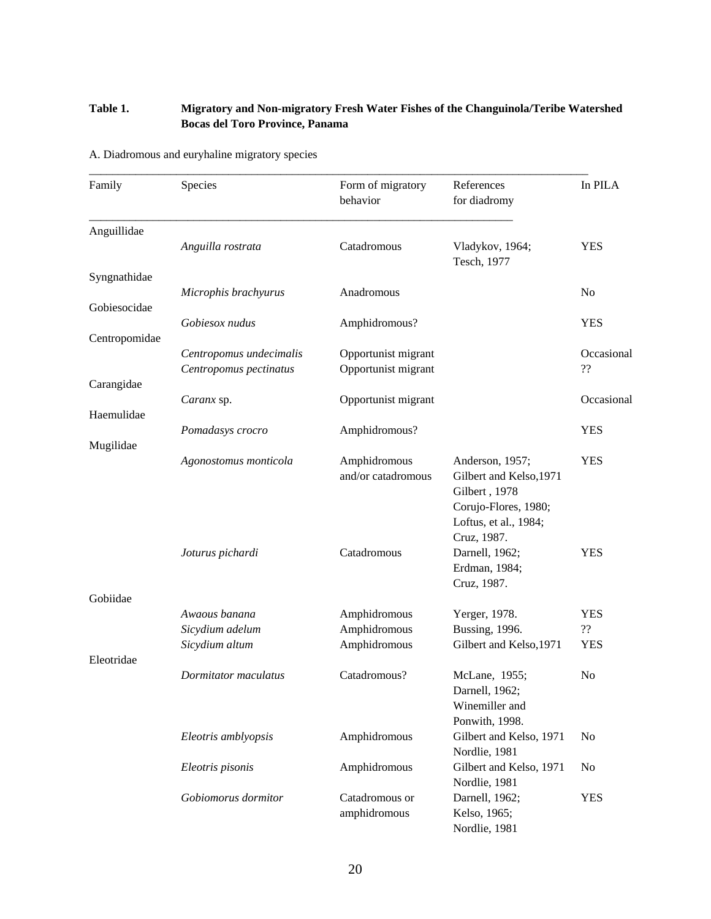# **Table 1. Migratory and Non-migratory Fresh Water Fishes of the Changuinola/Teribe Watershed Bocas del Toro Province, Panama**

A. Diadromous and euryhaline migratory species

| Family        | Species                 | Form of migratory<br>behavior | References<br>for diadromy      | In PILA        |
|---------------|-------------------------|-------------------------------|---------------------------------|----------------|
| Anguillidae   |                         |                               |                                 |                |
|               | Anguilla rostrata       | Catadromous                   | Vladykov, 1964;<br>Tesch, 1977  | <b>YES</b>     |
| Syngnathidae  |                         |                               |                                 |                |
| Gobiesocidae  | Microphis brachyurus    | Anadromous                    |                                 | N <sub>0</sub> |
|               | Gobiesox nudus          | Amphidromous?                 |                                 | <b>YES</b>     |
| Centropomidae |                         |                               |                                 |                |
|               | Centropomus undecimalis | Opportunist migrant           |                                 | Occasional     |
|               | Centropomus pectinatus  | Opportunist migrant           |                                 | ??             |
| Carangidae    |                         |                               |                                 |                |
|               | Caranx sp.              | Opportunist migrant           |                                 | Occasional     |
| Haemulidae    |                         |                               |                                 | <b>YES</b>     |
| Mugilidae     | Pomadasys crocro        | Amphidromous?                 |                                 |                |
|               | Agonostomus monticola   | Amphidromous                  | Anderson, 1957;                 | <b>YES</b>     |
|               |                         | and/or catadromous            | Gilbert and Kelso, 1971         |                |
|               |                         |                               | Gilbert, 1978                   |                |
|               |                         |                               | Corujo-Flores, 1980;            |                |
|               |                         |                               | Loftus, et al., 1984;           |                |
|               |                         | Catadromous                   | Cruz, 1987.                     | <b>YES</b>     |
|               | Joturus pichardi        |                               | Darnell, 1962;<br>Erdman, 1984; |                |
|               |                         |                               | Cruz, 1987.                     |                |
| Gobiidae      |                         |                               |                                 |                |
|               | Awaous banana           | Amphidromous                  | Yerger, 1978.                   | <b>YES</b>     |
|               | Sicydium adelum         | Amphidromous                  | <b>Bussing</b> , 1996.          | ??             |
|               | Sicydium altum          | Amphidromous                  | Gilbert and Kelso, 1971         | <b>YES</b>     |
| Eleotridae    |                         |                               |                                 |                |
|               | Dormitator maculatus    | Catadromous?                  | McLane, 1955;<br>Darnell, 1962; | N <sub>0</sub> |
|               |                         |                               | Winemiller and                  |                |
|               |                         |                               | Ponwith, 1998.                  |                |
|               | Eleotris amblyopsis     | Amphidromous                  | Gilbert and Kelso, 1971         | No             |
|               |                         |                               | Nordlie, 1981                   |                |
|               | Eleotris pisonis        | Amphidromous                  | Gilbert and Kelso, 1971         | N <sub>0</sub> |
|               |                         |                               | Nordlie, 1981                   |                |
|               | Gobiomorus dormitor     | Catadromous or                | Darnell, 1962;                  | <b>YES</b>     |
|               |                         | amphidromous                  | Kelso, 1965;                    |                |
|               |                         |                               | Nordlie, 1981                   |                |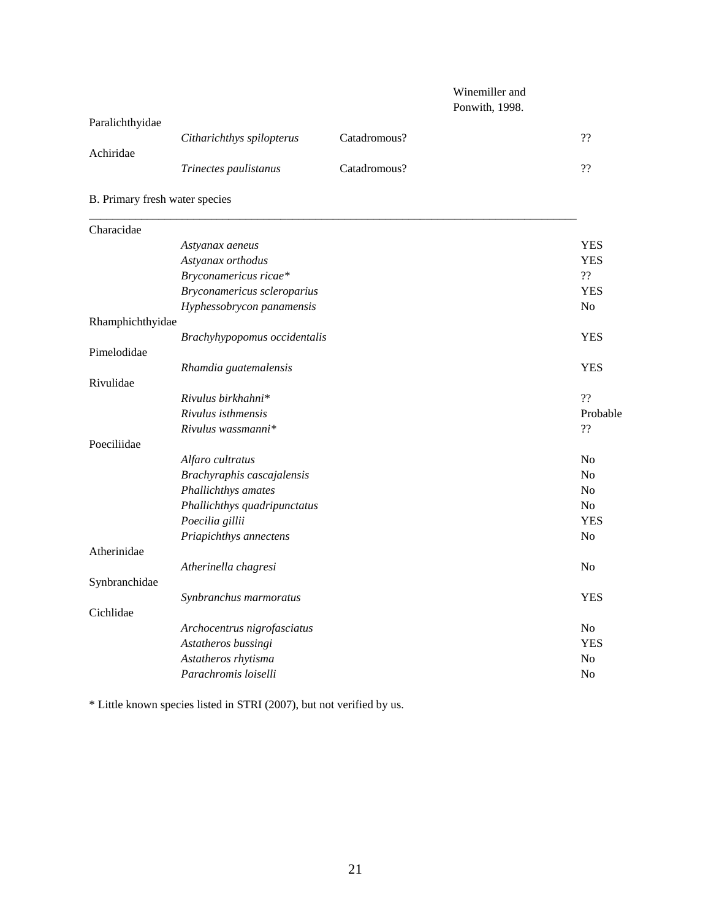# Winemiller and Ponwith, 1998.

| Paralichthyidae |                              |              |    |
|-----------------|------------------------------|--------------|----|
|                 | Citharichthys spilopterus    | Catadromous? | ?? |
| Achiridae       |                              |              |    |
|                 | <i>Trinectes paulistanus</i> | Catadromous? | ?? |
|                 |                              |              |    |

B. Primary fresh water species

| Characidae       |                              |                |
|------------------|------------------------------|----------------|
|                  | Astyanax aeneus              | <b>YES</b>     |
|                  | Astyanax orthodus            | <b>YES</b>     |
|                  | Bryconamericus ricae*        | ??             |
|                  | Bryconamericus scleroparius  | <b>YES</b>     |
|                  | Hyphessobrycon panamensis    | N <sub>o</sub> |
| Rhamphichthyidae |                              |                |
|                  | Brachyhypopomus occidentalis | <b>YES</b>     |
| Pimelodidae      |                              |                |
|                  | Rhamdia guatemalensis        | <b>YES</b>     |
| Rivulidae        |                              |                |
|                  | Rivulus birkhahni*           | ??             |
|                  | Rivulus isthmensis           | Probable       |
|                  | Rivulus wassmanni*           | ??             |
| Poeciliidae      |                              |                |
|                  | Alfaro cultratus             | N <sub>0</sub> |
|                  | Brachyraphis cascajalensis   | N <sub>0</sub> |
|                  | Phallichthys amates          | No             |
|                  | Phallichthys quadripunctatus | N <sub>o</sub> |
|                  | Poecilia gillii              | <b>YES</b>     |
|                  | Priapichthys annectens       | N <sub>o</sub> |
| Atherinidae      |                              |                |
|                  | Atherinella chagresi         | No             |
| Synbranchidae    |                              |                |
|                  | Synbranchus marmoratus       | <b>YES</b>     |
| Cichlidae        |                              |                |
|                  | Archocentrus nigrofasciatus  | N <sub>o</sub> |
|                  | Astatheros bussingi          | <b>YES</b>     |
|                  | Astatheros rhytisma          | N <sub>o</sub> |
|                  | Parachromis loiselli         | No             |
|                  |                              |                |

\* Little known species listed in STRI (2007), but not verified by us.